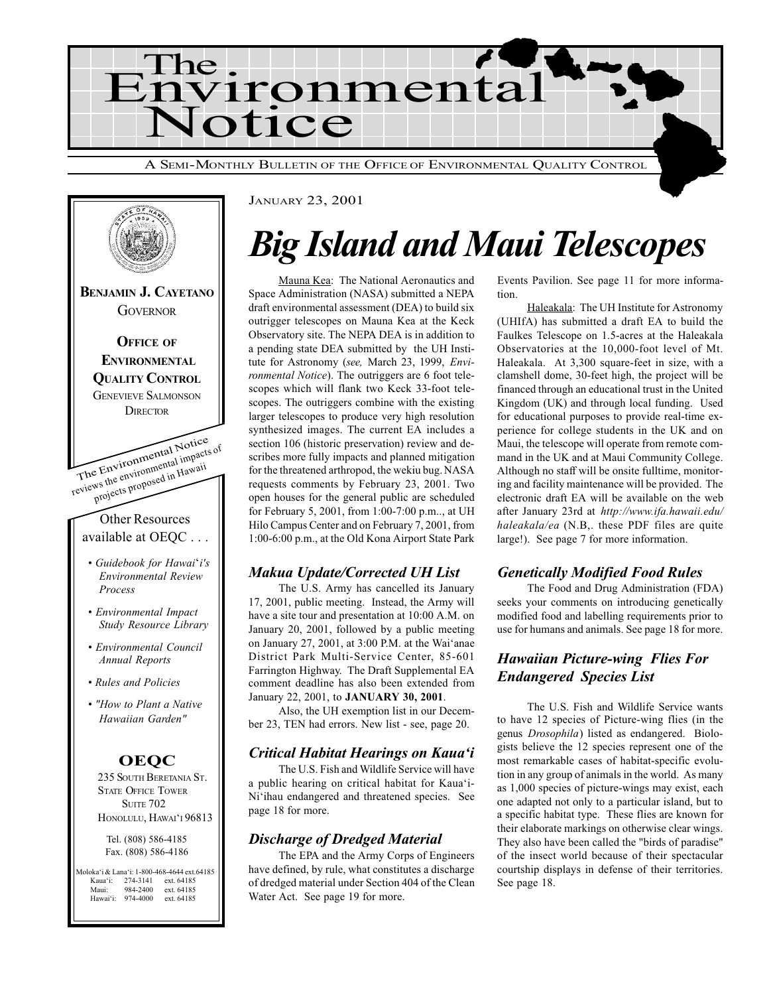



#### JANUARY 23, 2001

## Big Island and Maui Telescopes

Mauna Kea: The National Aeronautics and Space Administration (NASA) submitted a NEPA draft environmental assessment (DEA) to build six outrigger telescopes on Mauna Kea at the Keck Observatory site. The NEPA DEA is in addition to a pending state DEA submitted by the UH Institute for Astronomy (see, March 23, 1999, Environmental Notice). The outriggers are 6 foot telescopes which will flank two Keck 33-foot telescopes. The outriggers combine with the existing larger telescopes to produce very high resolution synthesized images. The current EA includes a section 106 (historic preservation) review and describes more fully impacts and planned mitigation for the threatened arthropod, the wekiu bug. NASA requests comments by February 23, 2001. Two open houses for the general public are scheduled for February 5, 2001, from 1:00-7:00 p.m.., at UH Hilo Campus Center and on February 7, 2001, from 1:00-6:00 p.m., at the Old Kona Airport State Park

#### Makua Update/Corrected UH List

The U.S. Army has cancelled its January 17, 2001, public meeting. Instead, the Army will have a site tour and presentation at 10:00 A.M. on January 20, 2001, followed by a public meeting on January  $27, 2001$ , at  $3:00$  P.M. at the Wai'anae District Park Multi-Service Center, 85-601 Farrington Highway. The Draft Supplemental EA comment deadline has also been extended from January 22, 2001, to JANUARY 30, 2001.

Also, the UH exemption list in our December 23, TEN had errors. New list - see, page 20.

#### Critical Habitat Hearings on Kaua'i

The U.S. Fish and Wildlife Service will have a public hearing on critical habitat for Kaua'i-Ni'ihau endangered and threatened species. See page 18 for more.

#### Discharge of Dredged Material

The EPA and the Army Corps of Engineers have defined, by rule, what constitutes a discharge of dredged material under Section 404 of the Clean Water Act. See page 19 for more.

Events Pavilion. See page 11 for more information.

Haleakala: The UH Institute for Astronomy (UHIfA) has submitted a draft EA to build the Faulkes Telescope on 1.5-acres at the Haleakala Observatories at the 10,000-foot level of Mt. Haleakala. At 3,300 square-feet in size, with a clamshell dome, 30-feet high, the project will be financed through an educational trust in the United Kingdom (UK) and through local funding. Used for educational purposes to provide real-time experience for college students in the UK and on Maui, the telescope will operate from remote command in the UK and at Maui Community College. Although no staff will be onsite fulltime, monitoring and facility maintenance will be provided. The electronic draft EA will be available on the web after January 23rd at http://www.ifa.hawaii.edu/ haleakala/ea (N.B,. these PDF files are quite large!). See page 7 for more information.

#### Genetically Modified Food Rules

The Food and Drug Administration (FDA) seeks your comments on introducing genetically modified food and labelling requirements prior to use for humans and animals. See page 18 for more.

#### Hawaiian Picture-wing Flies For Endangered Species List

The U.S. Fish and Wildlife Service wants to have 12 species of Picture-wing flies (in the genus Drosophila) listed as endangered. Biologists believe the 12 species represent one of the most remarkable cases of habitat-specific evolution in any group of animals in the world. As many as 1,000 species of picture-wings may exist, each one adapted not only to a particular island, but to a specific habitat type. These flies are known for their elaborate markings on otherwise clear wings. They also have been called the "birds of paradise" of the insect world because of their spectacular courtship displays in defense of their territories. See page 18.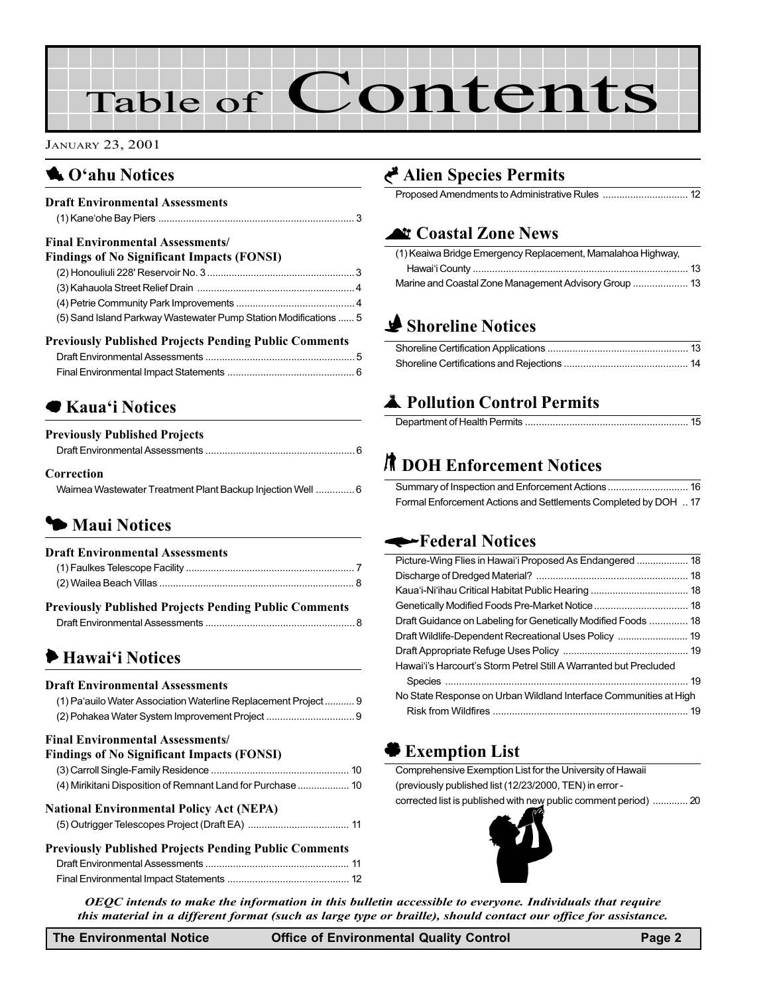# Table of Contents

#### JANUARY 23, 2001

## **1** O'ahu Notices

#### Draft Environmental Assessments (1) Kaneohe Bay Piers [....................................................................... 3](#page-2-0) Final Environmental Assessments/

| <b>Findings of No Significant Impacts (FONSI)</b>                |  |
|------------------------------------------------------------------|--|
|                                                                  |  |
|                                                                  |  |
|                                                                  |  |
| (5) Sand Island Parkway Wastewater Pump Station Modifications  5 |  |

#### Previously Published Projects Pending Public Comments

## ● Kaua'i Notices

| <b>Previously Published Projects</b> |  |
|--------------------------------------|--|
|                                      |  |
| $C_{\text{source}}$ and $\sim$       |  |

#### Correction

| Waimea Wastewater Treatment Plant Backup Injection Well  6 |  |
|------------------------------------------------------------|--|
|------------------------------------------------------------|--|

## **5 Maui Notices**

## Draft Environmental Assessments (1) Faulkes Telescope Facility [............................................................. 7](#page-6-0) [\(2\) Wailea Beach Villas ....................................................................... 8](#page-7-0) Previously Published Projects Pending Public Comments Draft Environmental Assessments [...................................................... 8](#page-7-0)  $\blacktriangleright$  Hawai'i Notices Draft Environmental Assessments (1) Pa'auilo Water Association Waterline Replacement Project........... 9 [\(2\) Pohakea Water System Improvement Project](#page-8-0) ................................ 9 Final Environmental Assessments/ Findings of No Significant Impacts (FONSI)

#### National Environmental Policy Act (NEPA)

#### Previously Published Projects Pending Public Comments Draft Environmental Assessments [.................................................... 11](#page-10-0) Final Environmental Impact Statements ............................................ 12

## G [Alien Species Permits](#page-11-0)

Proposed Amendments to Administrative Rules ............................... 12

## **Let [Coastal Zone News](#page-12-0)**

| (1) Keaiwa Bridge Emergency Replacement, Mamalahoa Highway, |  |
|-------------------------------------------------------------|--|
|                                                             |  |
| Marine and Coastal Zone Management Advisory Group  13       |  |

## **Shoreline Notices**

## **A** Pollution Control Permits

## **R** DOH Enforcement Notices

| Formal Enforcement Actions and Settlements Completed by DOH  17 |  |
|-----------------------------------------------------------------|--|

### Federal Notices

| Picture-Wing Flies in Hawai'i Proposed As Endangered  18          |  |
|-------------------------------------------------------------------|--|
|                                                                   |  |
|                                                                   |  |
|                                                                   |  |
| Draft Guidance on Labeling for Genetically Modified Foods  18     |  |
|                                                                   |  |
|                                                                   |  |
| Hawai'i's Harcourt's Storm Petrel Still A Warranted but Precluded |  |
|                                                                   |  |
| No State Response on Urban Wildland Interface Communities at High |  |
|                                                                   |  |
|                                                                   |  |

## ' Exemption List

| Comprehensive Exemption List for the University of Hawaii       |
|-----------------------------------------------------------------|
| (previously published list (12/23/2000, TEN) in error -         |
| corrected list is published with new public comment period)  20 |



OEQC intends to make the information in this bulletin accessible to everyone. Individuals that require this material in a different format (such as large type or braille), should contact our office for assistance.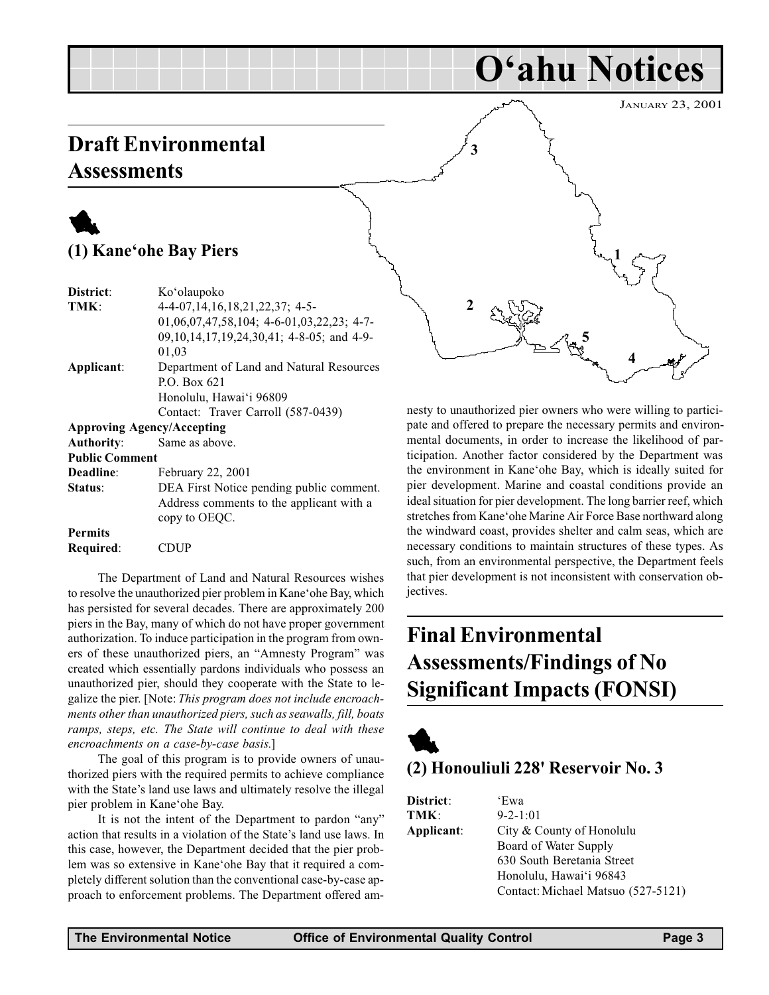## <span id="page-2-0"></span>Draft Environmental **Assessments**

## 1 (1) Kane'ohe Bay Piers

| District:             | Ko'olaupoko                                 |
|-----------------------|---------------------------------------------|
| TMK:                  | 4-4-07, 14, 16, 18, 21, 22, 37; 4-5-        |
|                       | $01,06,07,47,58,104; 4-6-01,03,22,23; 4-7-$ |
|                       | 09,10,14,17,19,24,30,41; 4-8-05; and 4-9-   |
|                       | 01,03                                       |
| Applicant:            | Department of Land and Natural Resources    |
|                       | P.O. Box $621$                              |
|                       | Honolulu, Hawai'i 96809                     |
|                       | Contact: Traver Carroll (587-0439)          |
|                       | <b>Approving Agency/Accepting</b>           |
| <b>Authority:</b>     | Same as above.                              |
| <b>Public Comment</b> |                                             |
| Deadline:             | February 22, 2001                           |
| Status:               | DEA First Notice pending public comment.    |
|                       | Address comments to the applicant with a    |
|                       | copy to OEQC.                               |
| <b>Permits</b>        |                                             |
| Required:             | CDUP                                        |

The Department of Land and Natural Resources wishes to resolve the unauthorized pier problem in Kane' ohe Bay, which has persisted for several decades. There are approximately 200 piers in the Bay, many of which do not have proper government authorization. To induce participation in the program from owners of these unauthorized piers, an "Amnesty Program" was created which essentially pardons individuals who possess an unauthorized pier, should they cooperate with the State to legalize the pier. [Note: This program does not include encroachments other than unauthorized piers, such as seawalls, fill, boats ramps, steps, etc. The State will continue to deal with these encroachments on a case-by-case basis.]

The goal of this program is to provide owners of unauthorized piers with the required permits to achieve compliance with the State's land use laws and ultimately resolve the illegal pier problem in Kane' ohe Bay.

It is not the intent of the Department to pardon "any" action that results in a violation of the State's land use laws. In this case, however, the Department decided that the pier problem was so extensive in Kane'ohe Bay that it required a completely different solution than the conventional case-by-case approach to enforcement problems. The Department offered am-



nesty to unauthorized pier owners who were willing to participate and offered to prepare the necessary permits and environmental documents, in order to increase the likelihood of participation. Another factor considered by the Department was the environment in Kane'ohe Bay, which is ideally suited for pier development. Marine and coastal conditions provide an ideal situation for pier development. The long barrier reef, which stretches from Kane'ohe Marine Air Force Base northward along the windward coast, provides shelter and calm seas, which are necessary conditions to maintain structures of these types. As such, from an environmental perspective, the Department feels that pier development is not inconsistent with conservation objectives.

## Final Environmental Assessments/Findings of No Significant Impacts (FONSI)



## (2) Honouliuli 228' Reservoir No. 3

| District:  | 'Ewa                               |
|------------|------------------------------------|
| TMK:       | $9 - 2 - 1:01$                     |
| Applicant: | City & County of Honolulu          |
|            | Board of Water Supply              |
|            | 630 South Beretania Street         |
|            | Honolulu, Hawai'i 96843            |
|            | Contact: Michael Matsuo (527-5121) |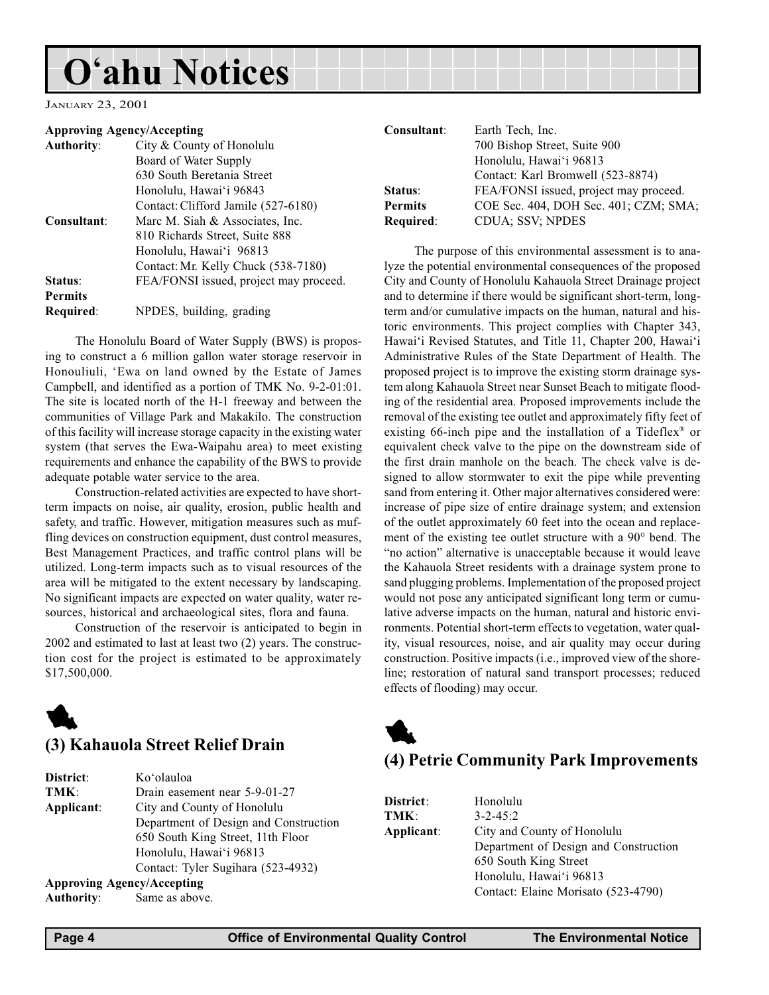## <span id="page-3-0"></span>O'ahu Notices

JANUARY 23, 2001

#### Approving Agency/Accepting

| <b>Authority:</b> | City & County of Honolulu              |
|-------------------|----------------------------------------|
|                   | Board of Water Supply                  |
|                   | 630 South Beretania Street             |
|                   | Honolulu, Hawai'i 96843                |
|                   | Contact: Clifford Jamile (527-6180)    |
| Consultant:       | Marc M. Siah & Associates, Inc.        |
|                   | 810 Richards Street, Suite 888         |
|                   | Honolulu, Hawai'i 96813                |
|                   | Contact: Mr. Kelly Chuck (538-7180)    |
| Status:           | FEA/FONSI issued, project may proceed. |
| <b>Permits</b>    |                                        |
| Required:         | NPDES, building, grading               |

The Honolulu Board of Water Supply (BWS) is proposing to construct a 6 million gallon water storage reservoir in Honouliuli, Ewa on land owned by the Estate of James Campbell, and identified as a portion of TMK No. 9-2-01:01. The site is located north of the H-1 freeway and between the communities of Village Park and Makakilo. The construction of this facility will increase storage capacity in the existing water system (that serves the Ewa-Waipahu area) to meet existing requirements and enhance the capability of the BWS to provide adequate potable water service to the area.

Construction-related activities are expected to have shortterm impacts on noise, air quality, erosion, public health and safety, and traffic. However, mitigation measures such as muffling devices on construction equipment, dust control measures, Best Management Practices, and traffic control plans will be utilized. Long-term impacts such as to visual resources of the area will be mitigated to the extent necessary by landscaping. No significant impacts are expected on water quality, water resources, historical and archaeological sites, flora and fauna.

Construction of the reservoir is anticipated to begin in 2002 and estimated to last at least two (2) years. The construction cost for the project is estimated to be approximately \$17,500,000.

## 1

### (3) Kahauola Street Relief Drain

| District:  | Ko'olauloa                            |
|------------|---------------------------------------|
| TMK:       | Drain easement near 5-9-01-27         |
| Applicant: | City and County of Honolulu           |
|            | Department of Design and Construction |
|            | 650 South King Street, 11th Floor     |
|            | Honolulu, Hawai'i 96813               |
|            | Contact: Tyler Sugihara (523-4932)    |
|            | <b>Approving Agency/Accepting</b>     |
| Authority: | Same as above.                        |

| Consultant:    | Earth Tech, Inc.                       |
|----------------|----------------------------------------|
|                | 700 Bishop Street, Suite 900           |
|                | Honolulu, Hawai'i 96813                |
|                | Contact: Karl Bromwell (523-8874)      |
| Status:        | FEA/FONSI issued, project may proceed. |
| <b>Permits</b> | COE Sec. 404, DOH Sec. 401; CZM; SMA;  |
| Required:      | <b>CDUA; SSV; NPDES</b>                |

The purpose of this environmental assessment is to analyze the potential environmental consequences of the proposed City and County of Honolulu Kahauola Street Drainage project and to determine if there would be significant short-term, longterm and/or cumulative impacts on the human, natural and historic environments. This project complies with Chapter 343, Hawai'i Revised Statutes, and Title 11, Chapter 200, Hawai'i Administrative Rules of the State Department of Health. The proposed project is to improve the existing storm drainage system along Kahauola Street near Sunset Beach to mitigate flooding of the residential area. Proposed improvements include the removal of the existing tee outlet and approximately fifty feet of existing 66-inch pipe and the installation of a Tideflex® or equivalent check valve to the pipe on the downstream side of the first drain manhole on the beach. The check valve is designed to allow stormwater to exit the pipe while preventing sand from entering it. Other major alternatives considered were: increase of pipe size of entire drainage system; and extension of the outlet approximately 60 feet into the ocean and replacement of the existing tee outlet structure with a 90° bend. The "no action" alternative is unacceptable because it would leave the Kahauola Street residents with a drainage system prone to sand plugging problems. Implementation of the proposed project would not pose any anticipated significant long term or cumulative adverse impacts on the human, natural and historic environments. Potential short-term effects to vegetation, water quality, visual resources, noise, and air quality may occur during construction. Positive impacts (i.e., improved view of the shoreline; restoration of natural sand transport processes; reduced effects of flooding) may occur.



## (4) Petrie Community Park Improvements

| District:  | Honolulu                              |
|------------|---------------------------------------|
| TMK:       | $3 - 2 - 45:2$                        |
| Applicant: | City and County of Honolulu           |
|            | Department of Design and Construction |
|            | 650 South King Street                 |
|            | Honolulu, Hawai'i 96813               |
|            | Contact: Elaine Morisato (523-4790)   |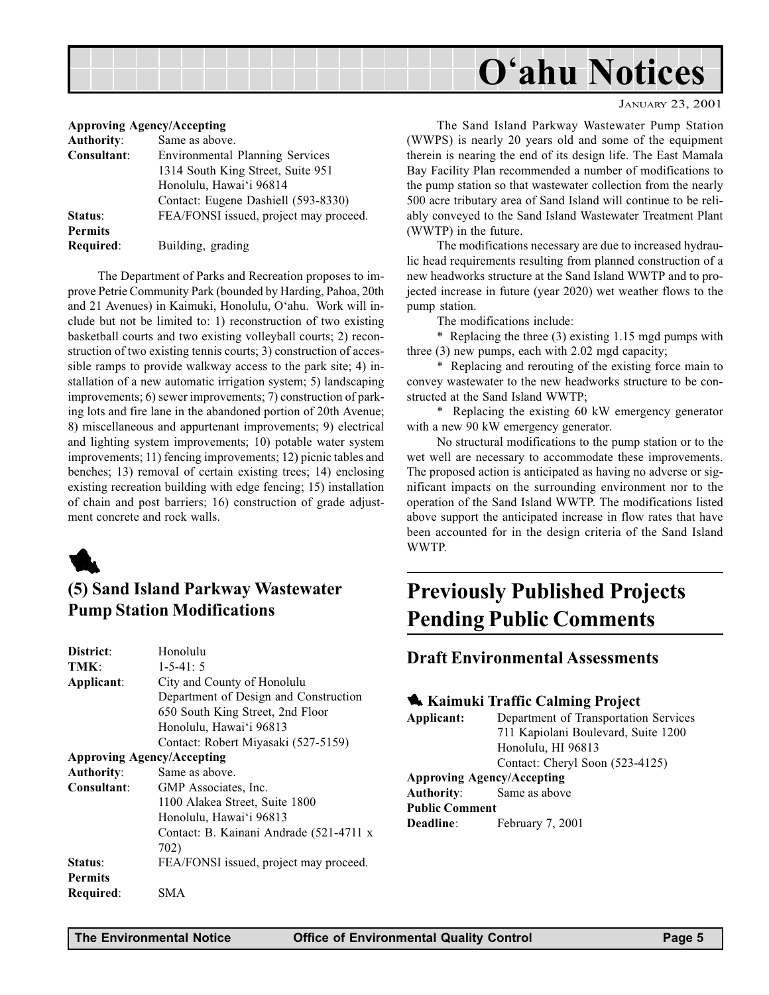<span id="page-4-0"></span>

#### JANUARY 23, 2001

|  | Approving Agency/Accepting |
|--|----------------------------|
|  |                            |

| <b>Authority:</b> | Same as above.                         |
|-------------------|----------------------------------------|
| Consultant:       | <b>Environmental Planning Services</b> |
|                   | 1314 South King Street, Suite 951      |
|                   | Honolulu, Hawai'i 96814                |
|                   | Contact: Eugene Dashiell (593-8330)    |
| Status:           | FEA/FONSI issued, project may proceed. |
| <b>Permits</b>    |                                        |
| Required:         | Building, grading                      |
|                   |                                        |

The Department of Parks and Recreation proposes to improve Petrie Community Park (bounded by Harding, Pahoa, 20th and 21 Avenues) in Kaimuki, Honolulu, O'ahu. Work will include but not be limited to: 1) reconstruction of two existing basketball courts and two existing volleyball courts; 2) reconstruction of two existing tennis courts; 3) construction of accessible ramps to provide walkway access to the park site; 4) installation of a new automatic irrigation system; 5) landscaping improvements; 6) sewer improvements; 7) construction of parking lots and fire lane in the abandoned portion of 20th Avenue; 8) miscellaneous and appurtenant improvements; 9) electrical and lighting system improvements; 10) potable water system improvements; 11) fencing improvements; 12) picnic tables and benches; 13) removal of certain existing trees; 14) enclosing existing recreation building with edge fencing; 15) installation of chain and post barriers; 16) construction of grade adjustment concrete and rock walls.



## (5) Sand Island Parkway Wastewater Pump Station Modifications

| District:         | Honolulu                                |
|-------------------|-----------------------------------------|
| TMK:              | $1 - 5 - 41:5$                          |
| Applicant:        | City and County of Honolulu             |
|                   | Department of Design and Construction   |
|                   | 650 South King Street, 2nd Floor        |
|                   | Honolulu, Hawai'i 96813                 |
|                   | Contact: Robert Miyasaki (527-5159)     |
|                   | <b>Approving Agency/Accepting</b>       |
| <b>Authority:</b> | Same as above.                          |
| Consultant:       | GMP Associates, Inc.                    |
|                   | 1100 Alakea Street, Suite 1800          |
|                   | Honolulu, Hawai'i 96813                 |
|                   | Contact: B. Kainani Andrade (521-4711 x |
|                   | 702)                                    |
| Status:           | FEA/FONSI issued, project may proceed.  |
| <b>Permits</b>    |                                         |
| Required:         | SMA                                     |
|                   |                                         |

The Sand Island Parkway Wastewater Pump Station (WWPS) is nearly 20 years old and some of the equipment therein is nearing the end of its design life. The East Mamala Bay Facility Plan recommended a number of modifications to the pump station so that wastewater collection from the nearly 500 acre tributary area of Sand Island will continue to be reliably conveyed to the Sand Island Wastewater Treatment Plant (WWTP) in the future.

The modifications necessary are due to increased hydraulic head requirements resulting from planned construction of a new headworks structure at the Sand Island WWTP and to projected increase in future (year 2020) wet weather flows to the pump station.

The modifications include:

\* Replacing the three (3) existing 1.15 mgd pumps with three (3) new pumps, each with 2.02 mgd capacity;

\* Replacing and rerouting of the existing force main to convey wastewater to the new headworks structure to be constructed at the Sand Island WWTP;

\* Replacing the existing 60 kW emergency generator with a new 90 kW emergency generator.

No structural modifications to the pump station or to the wet well are necessary to accommodate these improvements. The proposed action is anticipated as having no adverse or significant impacts on the surrounding environment nor to the operation of the Sand Island WWTP. The modifications listed above support the anticipated increase in flow rates that have been accounted for in the design criteria of the Sand Island WWTP.

## Previously Published Projects Pending Public Comments

#### Draft Environmental Assessments

#### **Kaimuki Traffic Calming Project**

Applicant: Department of Transportation Services 711 Kapiolani Boulevard, Suite 1200 Honolulu, HI 96813 Contact: Cheryl Soon (523-4125) Approving Agency/Accepting

Authority: Same as above Public Comment Deadline: February 7, 2001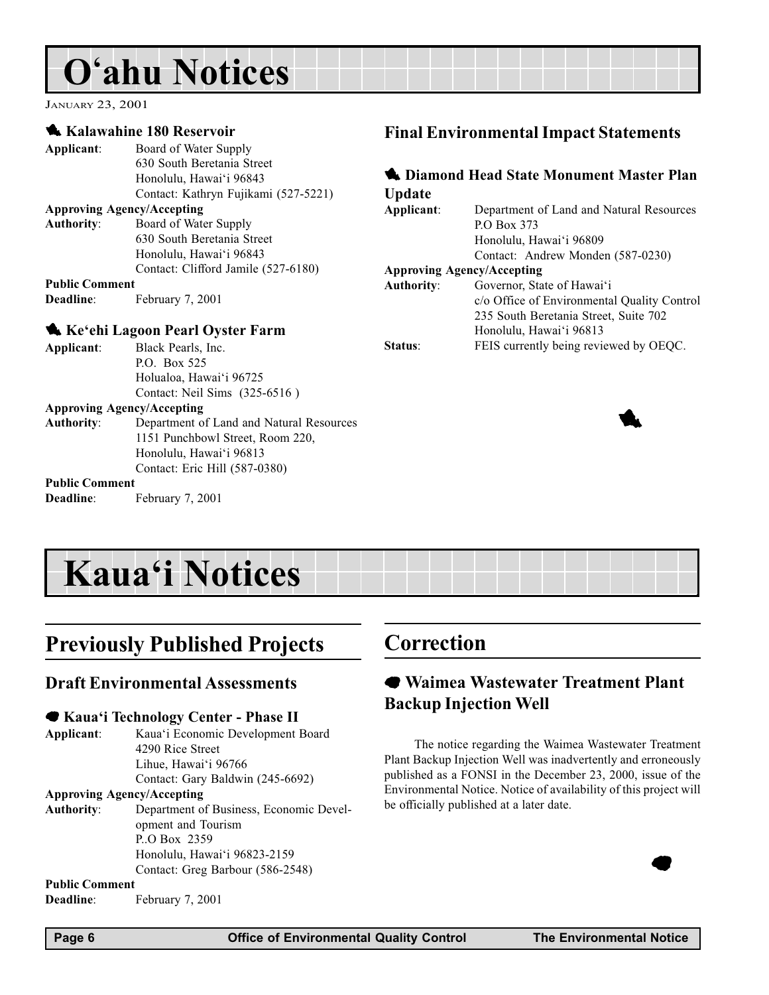## <span id="page-5-0"></span>O'ahu Notices

JANUARY 23, 2001

#### **Kalawahine 180 Reservoir**

| Applicant:                        | Board of Water Supply                |
|-----------------------------------|--------------------------------------|
|                                   | 630 South Beretania Street           |
|                                   | Honolulu, Hawai'i 96843              |
|                                   | Contact: Kathryn Fujikami (527-5221) |
| <b>Approving Agency/Accepting</b> |                                      |
| <b>Authority:</b>                 | Board of Water Supply                |
|                                   | 630 South Beretania Street           |
|                                   | Honolulu, Hawai'i 96843              |
|                                   | Contact: Clifford Jamile (527-6180)  |
| <b>Public Comment</b>             |                                      |
| <b>Deadline:</b>                  | February 7, 2001                     |
|                                   |                                      |

#### Ke'ehi Lagoon Pearl Oyster Farm

| Applicant:                                      | Black Pearls, Inc.                         |
|-------------------------------------------------|--------------------------------------------|
|                                                 | P.O. Box 525                               |
|                                                 | Holualoa, Hawai'i 96725                    |
|                                                 | Contact: Neil Sims (325-6516)              |
|                                                 | Approving Agency/Accepting                 |
| $\bf{A}$ and $\bf{L}$ and $\bf{L}$ and $\bf{L}$ | Department of Lord and Material Department |

Authority: Department of Land and Natural Resources 1151 Punchbowl Street, Room 220, Honolulu, Hawai'i 96813 Contact: Eric Hill (587-0380)

#### Public Comment

Deadline: February 7, 2001

## Final Environmental Impact Statements

#### **1 Diamond Head State Monument Master Plan** Update Applicant: Department of Land and Natural Resources P.O Box 373 Honolulu, Hawai'i 96809 Contact: Andrew Monden (587-0230) Approving Agency/Accepting Authority: Governor, State of Hawai'i c/o Office of Environmental Quality Control 235 South Beretania Street, Suite 702 Honolulu, Hawai'i 96813 Status: FEIS currently being reviewed by OEQC.



## **Kaua'i Notices**

## Previously Published Projects

#### Draft Environmental Assessments

#### ● Kaua'i Technology Center - Phase II

Applicant: Kaua'i Economic Development Board 4290 Rice Street Lihue, Hawai'i 96766 Contact: Gary Baldwin (245-6692)

#### Approving Agency/Accepting

Authority: Department of Business, Economic Development and Tourism P..O Box 2359 Honolulu, Hawai'i 96823-2159 Contact: Greg Barbour (586-2548)

#### Public Comment

Deadline: February 7, 2001

## Correction

## 7 Waimea Wastewater Treatment Plant Backup Injection Well

The notice regarding the Waimea Wastewater Treatment Plant Backup Injection Well was inadvertently and erroneously published as a FONSI in the December 23, 2000, issue of the Environmental Notice. Notice of availability of this project will be officially published at a later date.



 $\bullet$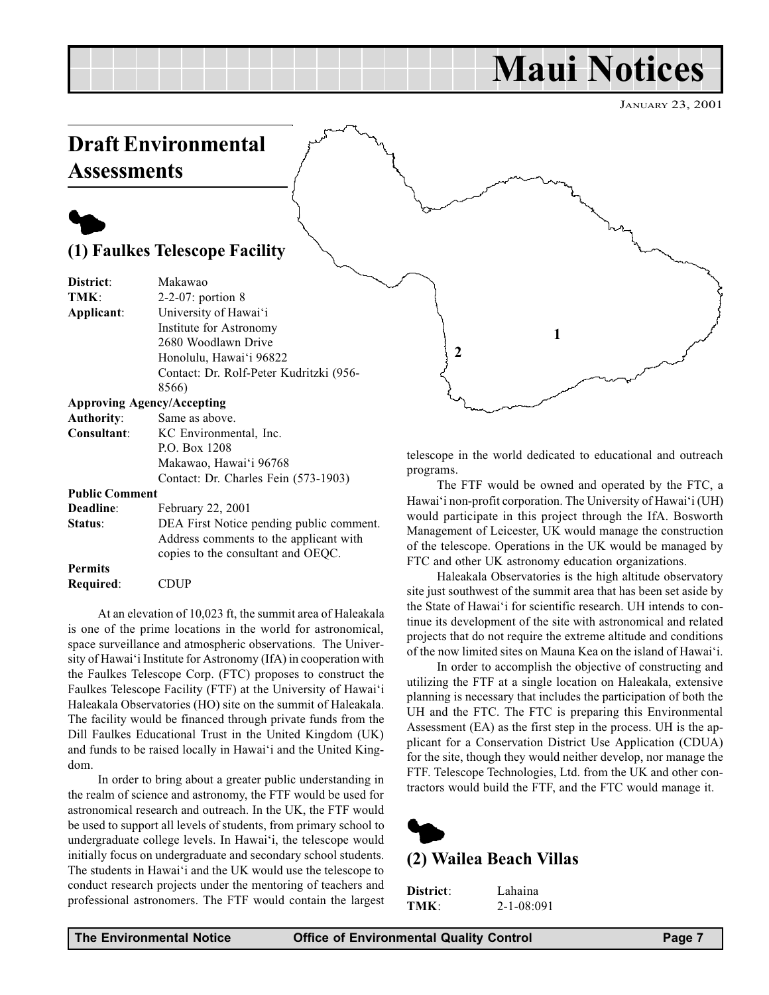## Maui Notices

JANUARY 23, 2001

## <span id="page-6-0"></span>Draft Environmental **Assessments**

## $\blacklozenge$

### (1) Faulkes Telescope Facility

| District:                  | Makawao                                 |
|----------------------------|-----------------------------------------|
| TMK:                       | $2-2-07$ : portion 8                    |
| Applicant:                 | University of Hawai'i                   |
|                            | Institute for Astronomy                 |
|                            | 2680 Woodlawn Drive                     |
|                            | Honolulu, Hawai'i 96822                 |
|                            | Contact: Dr. Rolf-Peter Kudritzki (956- |
|                            | 8566)                                   |
|                            | <b>Approving Agency/Accepting</b>       |
| Authority:                 | Same as above.                          |
| Consultant:                | KC Environmental, Inc.                  |
|                            | P.O. Box 1208                           |
|                            | Makawao, Hawai'i 96768                  |
|                            | Contact: Dr. Charles Fein (573-1903)    |
| $\mathbf{D}$ uhlic Commont |                                         |

Public Comment

| Deadline:      | February 22, 2001                                                            |
|----------------|------------------------------------------------------------------------------|
| Status:        | DEA First Notice pending public comment.                                     |
|                | Address comments to the applicant with<br>copies to the consultant and OEOC. |
| <b>Permits</b> |                                                                              |
|                |                                                                              |
| Required:      | <b>CDUP</b>                                                                  |

At an elevation of 10,023 ft, the summit area of Haleakala is one of the prime locations in the world for astronomical, space surveillance and atmospheric observations. The University of Hawai'i Institute for Astronomy (IfA) in cooperation with the Faulkes Telescope Corp. (FTC) proposes to construct the Faulkes Telescope Facility (FTF) at the University of Hawai'i Haleakala Observatories (HO) site on the summit of Haleakala. The facility would be financed through private funds from the Dill Faulkes Educational Trust in the United Kingdom (UK) and funds to be raised locally in Hawai'i and the United Kingdom.

In order to bring about a greater public understanding in the realm of science and astronomy, the FTF would be used for astronomical research and outreach. In the UK, the FTF would be used to support all levels of students, from primary school to undergraduate college levels. In Hawai'i, the telescope would initially focus on undergraduate and secondary school students. The students in Hawai'i and the UK would use the telescope to conduct research projects under the mentoring of teachers and professional astronomers. The FTF would contain the largest

telescope in the world dedicated to educational and outreach programs.

1

2

The FTF would be owned and operated by the FTC, a Hawai'i non-profit corporation. The University of Hawai'i (UH) would participate in this project through the IfA. Bosworth Management of Leicester, UK would manage the construction of the telescope. Operations in the UK would be managed by FTC and other UK astronomy education organizations.

Haleakala Observatories is the high altitude observatory site just southwest of the summit area that has been set aside by the State of Hawai'i for scientific research. UH intends to continue its development of the site with astronomical and related projects that do not require the extreme altitude and conditions of the now limited sites on Mauna Kea on the island of Hawai'i.

In order to accomplish the objective of constructing and utilizing the FTF at a single location on Haleakala, extensive planning is necessary that includes the participation of both the UH and the FTC. The FTC is preparing this Environmental Assessment (EA) as the first step in the process. UH is the applicant for a Conservation District Use Application (CDUA) for the site, though they would neither develop, nor manage the FTF. Telescope Technologies, Ltd. from the UK and other contractors would build the FTF, and the FTC would manage it.



### (2) Wailea Beach Villas

| District: | Lahaina          |
|-----------|------------------|
| TMK:      | $2 - 1 - 08:091$ |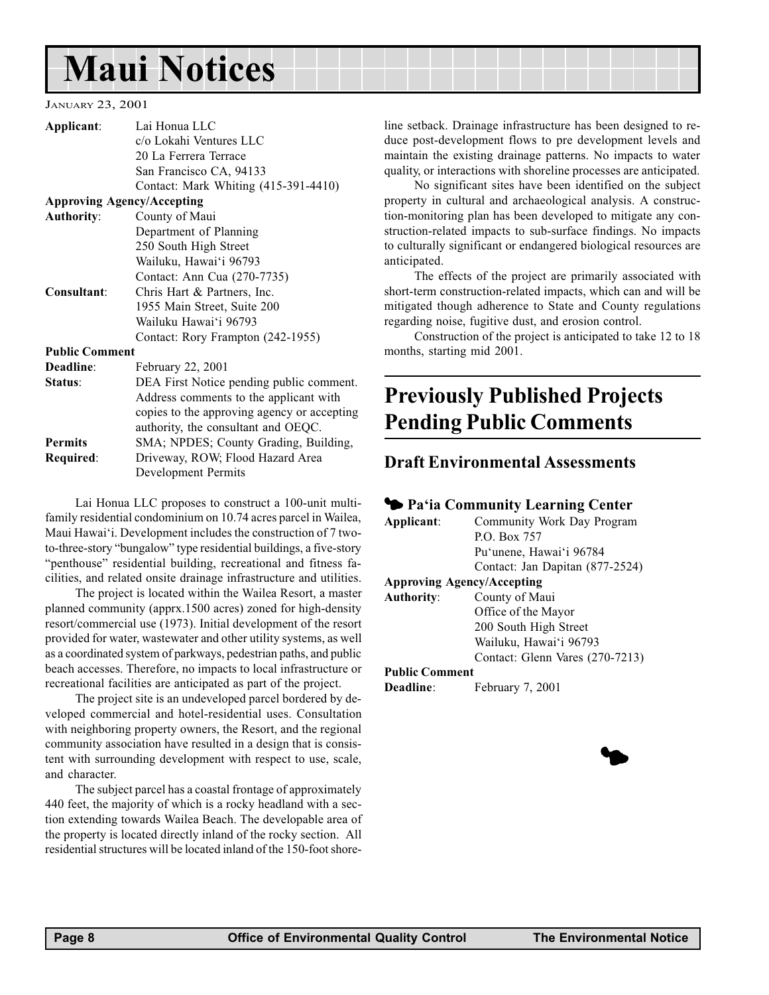## <span id="page-7-0"></span>Maui Notices

JANUARY 23, 2001

| Applicant:            | Lai Honua LLC                               |
|-----------------------|---------------------------------------------|
|                       | c/o Lokahi Ventures LLC                     |
|                       | 20 La Ferrera Terrace                       |
|                       | San Francisco CA, 94133                     |
|                       | Contact: Mark Whiting (415-391-4410)        |
|                       | <b>Approving Agency/Accepting</b>           |
| <b>Authority:</b>     | County of Maui                              |
|                       | Department of Planning                      |
|                       | 250 South High Street                       |
|                       | Wailuku, Hawai'i 96793                      |
|                       | Contact: Ann Cua (270-7735)                 |
| Consultant:           | Chris Hart & Partners, Inc.                 |
|                       | 1955 Main Street, Suite 200                 |
|                       | Wailuku Hawai'i 96793                       |
|                       | Contact: Rory Frampton (242-1955)           |
| <b>Public Comment</b> |                                             |
| Deadline:             | February 22, 2001                           |
| Status:               | DEA First Notice pending public comment.    |
|                       | Address comments to the applicant with      |
|                       | copies to the approving agency or accepting |
|                       | authority, the consultant and OEQC.         |
| <b>Permits</b>        | SMA; NPDES; County Grading, Building,       |
| Required:             | Driveway, ROW; Flood Hazard Area            |
|                       | <b>Development Permits</b>                  |

Lai Honua LLC proposes to construct a 100-unit multifamily residential condominium on 10.74 acres parcel in Wailea, Maui Hawai'i. Development includes the construction of 7 twoto-three-story "bungalow" type residential buildings, a five-story "penthouse" residential building, recreational and fitness facilities, and related onsite drainage infrastructure and utilities.

The project is located within the Wailea Resort, a master planned community (apprx.1500 acres) zoned for high-density resort/commercial use (1973). Initial development of the resort provided for water, wastewater and other utility systems, as well as a coordinated system of parkways, pedestrian paths, and public beach accesses. Therefore, no impacts to local infrastructure or recreational facilities are anticipated as part of the project.

The project site is an undeveloped parcel bordered by developed commercial and hotel-residential uses. Consultation with neighboring property owners, the Resort, and the regional community association have resulted in a design that is consistent with surrounding development with respect to use, scale, and character.

The subject parcel has a coastal frontage of approximately 440 feet, the majority of which is a rocky headland with a section extending towards Wailea Beach. The developable area of the property is located directly inland of the rocky section. All residential structures will be located inland of the 150-foot shoreline setback. Drainage infrastructure has been designed to reduce post-development flows to pre development levels and maintain the existing drainage patterns. No impacts to water quality, or interactions with shoreline processes are anticipated.

No significant sites have been identified on the subject property in cultural and archaeological analysis. A construction-monitoring plan has been developed to mitigate any construction-related impacts to sub-surface findings. No impacts to culturally significant or endangered biological resources are anticipated.

The effects of the project are primarily associated with short-term construction-related impacts, which can and will be mitigated though adherence to State and County regulations regarding noise, fugitive dust, and erosion control.

Construction of the project is anticipated to take 12 to 18 months, starting mid 2001.

## Previously Published Projects Pending Public Comments

### Draft Environmental Assessments

|                       | Ra'ia Community Learning Center   |
|-----------------------|-----------------------------------|
| Applicant:            | Community Work Day Program        |
|                       | P.O. Box 757                      |
|                       | Pu'unene, Hawai'i 96784           |
|                       | Contact: Jan Dapitan (877-2524)   |
|                       | <b>Approving Agency/Accepting</b> |
| <b>Authority:</b>     | County of Maui                    |
|                       | Office of the Mayor               |
|                       | 200 South High Street             |
|                       | Wailuku, Hawai'i 96793            |
|                       | Contact: Glenn Vares (270-7213)   |
| <b>Public Comment</b> |                                   |
| Deadline:             | February 7, 2001                  |

 $\blacklozenge$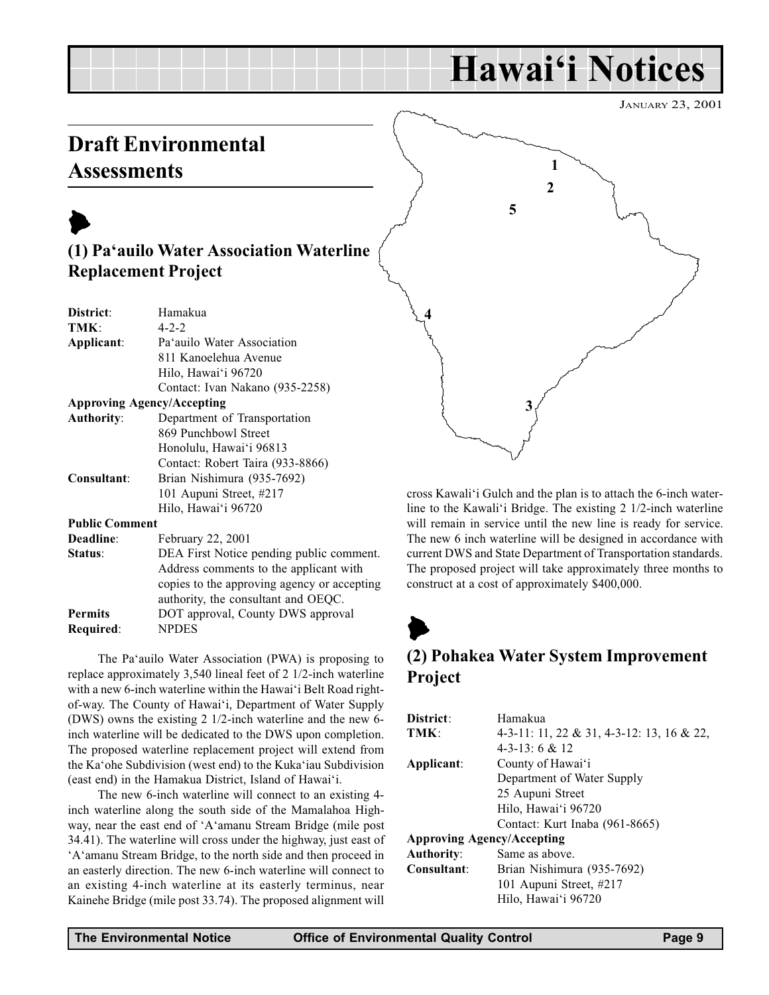## Hawai'i Notices

JANUARY 23, 2001

## <span id="page-8-0"></span>Draft Environmental **Assessments**

| (1) Pa'auilo Water Association Waterline<br><b>Replacement Project</b> |                                             |  |
|------------------------------------------------------------------------|---------------------------------------------|--|
| District:                                                              | Hamakua                                     |  |
| TMK:                                                                   | $4 - 2 - 2$                                 |  |
| Applicant:                                                             | Pa'auilo Water Association                  |  |
|                                                                        | 811 Kanoelehua Avenue                       |  |
|                                                                        | Hilo, Hawai'i 96720                         |  |
|                                                                        | Contact: Ivan Nakano (935-2258)             |  |
|                                                                        | <b>Approving Agency/Accepting</b>           |  |
| <b>Authority:</b>                                                      | Department of Transportation                |  |
|                                                                        | 869 Punchbowl Street                        |  |
|                                                                        | Honolulu, Hawai'i 96813                     |  |
|                                                                        | Contact: Robert Taira (933-8866)            |  |
| Consultant:                                                            | Brian Nishimura (935-7692)                  |  |
|                                                                        | 101 Aupuni Street, #217                     |  |
|                                                                        | Hilo, Hawai'i 96720                         |  |
| <b>Public Comment</b>                                                  |                                             |  |
| Deadline:                                                              | <b>February 22, 2001</b>                    |  |
| Status:                                                                | DEA First Notice pending public comment.    |  |
|                                                                        | Address comments to the applicant with      |  |
|                                                                        | copies to the approving agency or accepting |  |
|                                                                        | authority, the consultant and OEQC.         |  |
| <b>Permits</b>                                                         | DOT approval, County DWS approval           |  |
| Required:                                                              | <b>NPDES</b>                                |  |

The Pa'auilo Water Association (PWA) is proposing to replace approximately 3,540 lineal feet of 2 1/2-inch waterline with a new 6-inch waterline within the Hawai'i Belt Road rightof-way. The County of Hawai'i, Department of Water Supply (DWS) owns the existing 2 1/2-inch waterline and the new 6 inch waterline will be dedicated to the DWS upon completion. The proposed waterline replacement project will extend from the Ka'ohe Subdivision (west end) to the Kuka'iau Subdivision (east end) in the Hamakua District, Island of Hawai'i.

The new 6-inch waterline will connect to an existing 4 inch waterline along the south side of the Mamalahoa Highway, near the east end of 'A'amanu Stream Bridge (mile post 34.41). The waterline will cross under the highway, just east of 'A'amanu Stream Bridge, to the north side and then proceed in an easterly direction. The new 6-inch waterline will connect to an existing 4-inch waterline at its easterly terminus, near Kainehe Bridge (mile post 33.74). The proposed alignment will

cross Kawali'i Gulch and the plan is to attach the 6-inch waterline to the Kawali'i Bridge. The existing  $2 \frac{1}{2}$ -inch waterline will remain in service until the new line is ready for service. The new 6 inch waterline will be designed in accordance with current DWS and State Department of Transportation standards. The proposed project will take approximately three months to construct at a cost of approximately \$400,000.

## $\blacktriangleright$ (2) Pohakea Water System Improvement Project

| District:                         | Hamakua                                   |  |
|-----------------------------------|-------------------------------------------|--|
| TMK:                              | 4-3-11: 11, 22 & 31, 4-3-12: 13, 16 & 22, |  |
|                                   | $4-3-13:6 \& 12$                          |  |
| Applicant:                        | County of Hawai'i                         |  |
|                                   | Department of Water Supply                |  |
|                                   | 25 Aupuni Street                          |  |
|                                   | Hilo, Hawai'i 96720                       |  |
|                                   | Contact: Kurt Inaba (961-8665)            |  |
| <b>Approving Agency/Accepting</b> |                                           |  |
| <b>Authority:</b>                 | Same as above.                            |  |
| Consultant:                       | Brian Nishimura (935-7692)                |  |
|                                   | 101 Aupuni Street, #217                   |  |
|                                   | Hilo, Hawai'i 96720                       |  |
|                                   |                                           |  |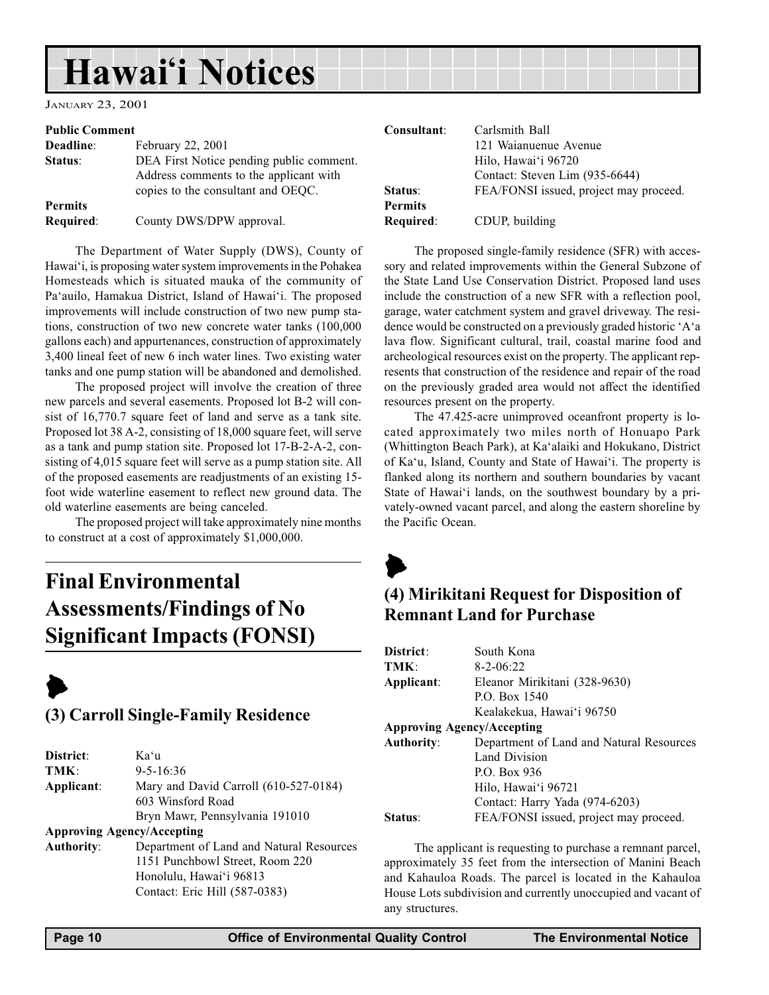## <span id="page-9-0"></span>Hawai'i Notices

JANUARY 23, 2001

#### Public Comment

| Deadline:      | February 22, 2001                        |
|----------------|------------------------------------------|
| Status:        | DEA First Notice pending public comment. |
|                | Address comments to the applicant with   |
|                | copies to the consultant and OEOC.       |
| <b>Permits</b> |                                          |
| Required:      | County DWS/DPW approval.                 |

The Department of Water Supply (DWS), County of Hawai'i, is proposing water system improvements in the Pohakea Homesteads which is situated mauka of the community of Pa'auilo, Hamakua District, Island of Hawai'i. The proposed improvements will include construction of two new pump stations, construction of two new concrete water tanks (100,000 gallons each) and appurtenances, construction of approximately 3,400 lineal feet of new 6 inch water lines. Two existing water tanks and one pump station will be abandoned and demolished.

The proposed project will involve the creation of three new parcels and several easements. Proposed lot B-2 will consist of 16,770.7 square feet of land and serve as a tank site. Proposed lot 38 A-2, consisting of 18,000 square feet, will serve as a tank and pump station site. Proposed lot 17-B-2-A-2, consisting of 4,015 square feet will serve as a pump station site. All of the proposed easements are readjustments of an existing 15 foot wide waterline easement to reflect new ground data. The old waterline easements are being canceled.

The proposed project will take approximately nine months to construct at a cost of approximately \$1,000,000.

## Final Environmental Assessments/Findings of No Significant Impacts (FONSI)



#### (3) Carroll Single-Family Residence

| Kaʻu                                                                      |
|---------------------------------------------------------------------------|
| $9 - 5 - 16:36$                                                           |
| Mary and David Carroll (610-527-0184)                                     |
| 603 Winsford Road                                                         |
| Bryn Mawr, Pennsylvania 191010                                            |
| <b>Approving Agency/Accepting</b>                                         |
| Department of Land and Natural Resourc<br>1151 Punchbowl Street, Room 220 |
|                                                                           |

Authority: Department of Land and Natural Resources Honolulu, Hawai'i 96813 Contact: Eric Hill (587-0383)

| Consultant:    | Carlsmith Ball                         |
|----------------|----------------------------------------|
|                | 121 Waianuenue Avenue                  |
|                | Hilo, Hawai'i 96720                    |
|                | Contact: Steven Lim (935-6644)         |
| Status:        | FEA/FONSI issued, project may proceed. |
| <b>Permits</b> |                                        |
| Required:      | CDUP, building                         |

The proposed single-family residence (SFR) with accessory and related improvements within the General Subzone of the State Land Use Conservation District. Proposed land uses include the construction of a new SFR with a reflection pool, garage, water catchment system and gravel driveway. The residence would be constructed on a previously graded historic 'A'a lava flow. Significant cultural, trail, coastal marine food and archeological resources exist on the property. The applicant represents that construction of the residence and repair of the road on the previously graded area would not affect the identified resources present on the property.

The 47.425-acre unimproved oceanfront property is located approximately two miles north of Honuapo Park (Whittington Beach Park), at Ka'alaiki and Hokukano, District of Ka'u, Island, County and State of Hawai'i. The property is flanked along its northern and southern boundaries by vacant State of Hawai'i lands, on the southwest boundary by a privately-owned vacant parcel, and along the eastern shoreline by the Pacific Ocean.

## $\blacktriangleright$ (4) Mirikitani Request for Disposition of Remnant Land for Purchase

| District:                         | South Kona                               |
|-----------------------------------|------------------------------------------|
| TMK:                              | $8 - 2 - 06:22$                          |
| Applicant:                        | Eleanor Mirikitani (328-9630)            |
|                                   | P.O. Box 1540                            |
|                                   | Kealakekua, Hawai'i 96750                |
| <b>Approving Agency/Accepting</b> |                                          |
| <b>Authority:</b>                 | Department of Land and Natural Resources |
|                                   | <b>Land Division</b>                     |
|                                   | P.O. Box 936                             |
|                                   | Hilo, Hawai'i 96721                      |
|                                   | Contact: Harry Yada (974-6203)           |
| Status:                           | FEA/FONSI issued, project may proceed.   |

The applicant is requesting to purchase a remnant parcel, approximately 35 feet from the intersection of Manini Beach and Kahauloa Roads. The parcel is located in the Kahauloa House Lots subdivision and currently unoccupied and vacant of any structures.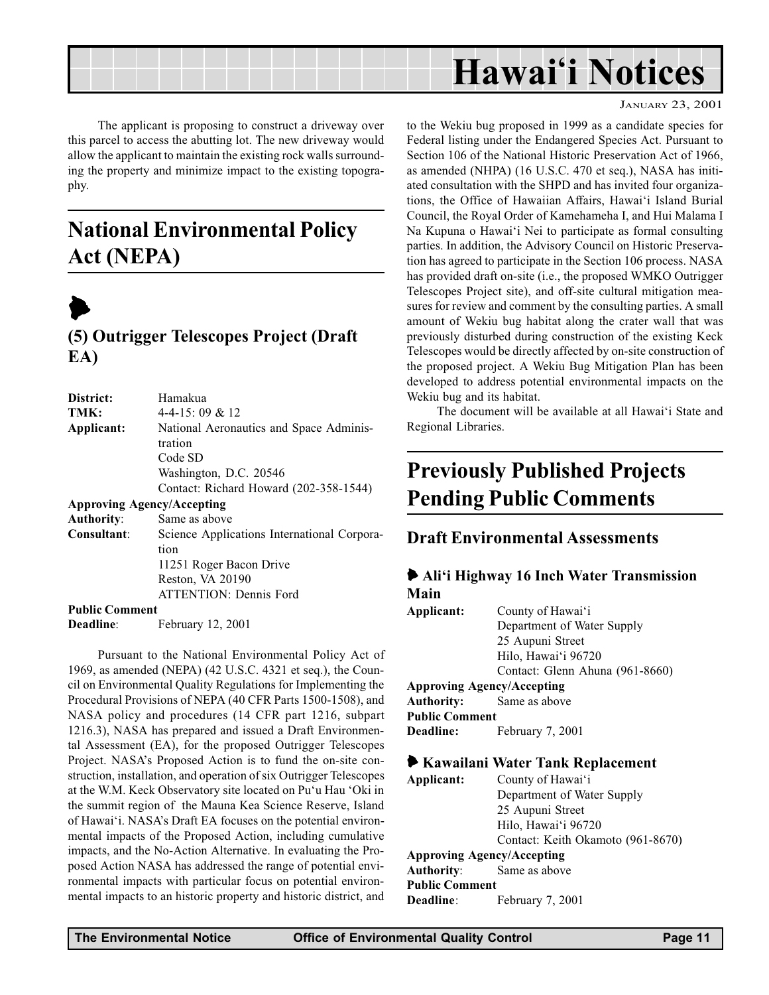<span id="page-10-0"></span>

The applicant is proposing to construct a driveway over this parcel to access the abutting lot. The new driveway would allow the applicant to maintain the existing rock walls surrounding the property and minimize impact to the existing topography.

## National Environmental Policy Act (NEPA)



### (5) Outrigger Telescopes Project (Draft EA)

| District:             | Hamakua                                     |
|-----------------------|---------------------------------------------|
| TMK:                  | $4-4-15:09 & 12$                            |
| Applicant:            | National Aeronautics and Space Adminis-     |
|                       | tration                                     |
|                       | Code SD                                     |
|                       | Washington, D.C. 20546                      |
|                       | Contact: Richard Howard (202-358-1544)      |
|                       | <b>Approving Agency/Accepting</b>           |
| <b>Authority:</b>     | Same as above                               |
| Consultant:           | Science Applications International Corpora- |
|                       | tion                                        |
|                       | 11251 Roger Bacon Drive                     |
|                       | Reston, VA 20190                            |
|                       | <b>ATTENTION: Dennis Ford</b>               |
| <b>Public Comment</b> |                                             |
| <b>Deadline:</b>      | February 12, 2001                           |

Pursuant to the National Environmental Policy Act of 1969, as amended (NEPA) (42 U.S.C. 4321 et seq.), the Council on Environmental Quality Regulations for Implementing the Procedural Provisions of NEPA (40 CFR Parts 1500-1508), and NASA policy and procedures (14 CFR part 1216, subpart 1216.3), NASA has prepared and issued a Draft Environmental Assessment (EA), for the proposed Outrigger Telescopes Project. NASA's Proposed Action is to fund the on-site construction, installation, and operation of six Outrigger Telescopes at the W.M. Keck Observatory site located on Pu'u Hau 'Oki in the summit region of the Mauna Kea Science Reserve, Island of Hawai'i. NASA's Draft EA focuses on the potential environmental impacts of the Proposed Action, including cumulative impacts, and the No-Action Alternative. In evaluating the Proposed Action NASA has addressed the range of potential environmental impacts with particular focus on potential environmental impacts to an historic property and historic district, and JANUARY 23, 2001

to the Wekiu bug proposed in 1999 as a candidate species for Federal listing under the Endangered Species Act. Pursuant to Section 106 of the National Historic Preservation Act of 1966, as amended (NHPA) (16 U.S.C. 470 et seq.), NASA has initiated consultation with the SHPD and has invited four organizations, the Office of Hawaiian Affairs, Hawai'i Island Burial Council, the Royal Order of Kamehameha I, and Hui Malama I Na Kupuna o Hawai'i Nei to participate as formal consulting parties. In addition, the Advisory Council on Historic Preservation has agreed to participate in the Section 106 process. NASA has provided draft on-site (i.e., the proposed WMKO Outrigger Telescopes Project site), and off-site cultural mitigation measures for review and comment by the consulting parties. A small amount of Wekiu bug habitat along the crater wall that was previously disturbed during construction of the existing Keck Telescopes would be directly affected by on-site construction of the proposed project. A Wekiu Bug Mitigation Plan has been developed to address potential environmental impacts on the Wekiu bug and its habitat.

The document will be available at all Hawai'i State and Regional Libraries.

## Previously Published Projects Pending Public Comments

#### Draft Environmental Assessments

#### • Ali'i Highway 16 Inch Water Transmission Main

| Applicant:                        | County of Hawai'i               |  |
|-----------------------------------|---------------------------------|--|
|                                   | Department of Water Supply      |  |
|                                   | 25 Aupuni Street                |  |
|                                   | Hilo, Hawai'i 96720             |  |
|                                   | Contact: Glenn Ahuna (961-8660) |  |
| <b>Approving Agency/Accepting</b> |                                 |  |
| <b>Authority:</b> Same as above   |                                 |  |
| <b>Public Comment</b>             |                                 |  |
| Deadline:                         | February 7, 2001                |  |
|                                   |                                 |  |

#### 6 Kawailani Water Tank Replacement

Applicant: County of Hawai'i Department of Water Supply 25 Aupuni Street Hilo, Hawai'i 96720 Contact: Keith Okamoto (961-8670) Approving Agency/Accepting Authority: Same as above Public Comment Deadline: February 7, 2001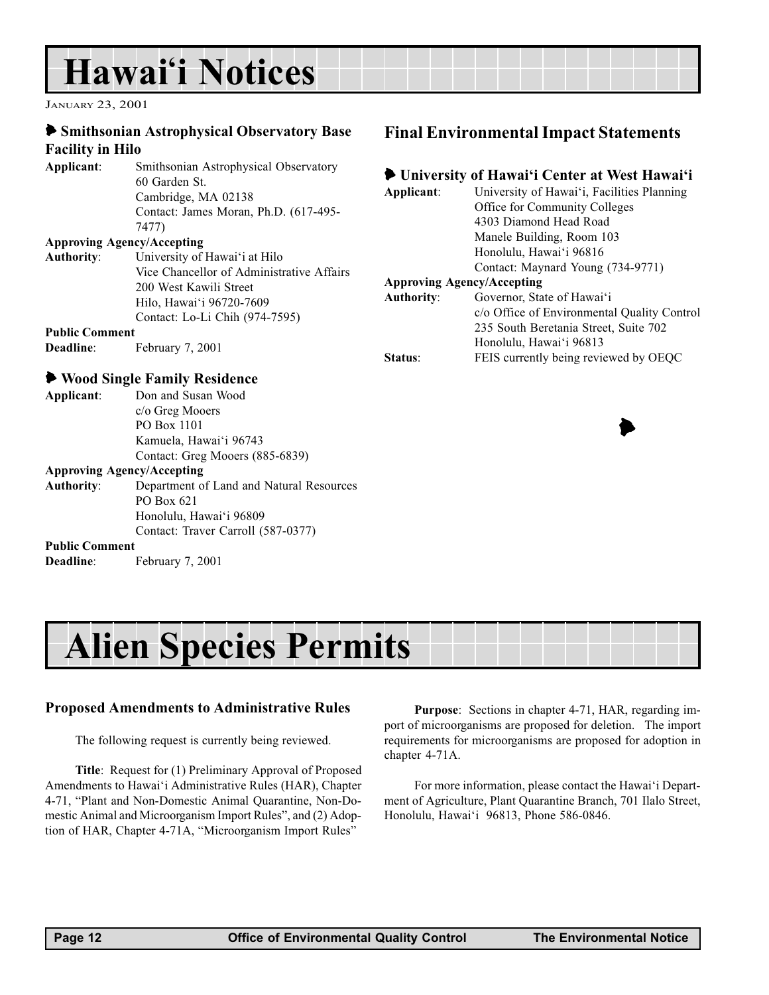## <span id="page-11-0"></span>Hawai'i Notices

JANUARY 23, 2001

#### 6 Smithsonian Astrophysical Observatory Base Facility in Hilo

Applicant: Smithsonian Astrophysical Observatory 60 Garden St. Cambridge, MA 02138 Contact: James Moran, Ph.D. (617-495- 7477)

#### Approving Agency/Accepting

Authority: University of Hawai'i at Hilo Vice Chancellor of Administrative Affairs 200 West Kawili Street Hilo, Hawai'i 96720-7609 Contact: Lo-Li Chih (974-7595)

#### Public Comment

Deadline: February 7, 2001

#### 6 Wood Single Family Residence

| Applicant: | Don and Susan Wood              |
|------------|---------------------------------|
|            | c/o Greg Mooers                 |
|            | PO Box 1101                     |
|            | Kamuela, Hawai'i 96743          |
|            | Contact: Greg Mooers (885-6839) |

#### Approving Agency/Accepting

Authority: Department of Land and Natural Resources PO Box 621 Honolulu, Hawai'i 96809 Contact: Traver Carroll (587-0377)

#### Public Comment

Deadline: February 7, 2001

### Final Environmental Impact Statements

#### lacktriangleright University of Hawai'i Center at West Hawai'i

| University of Hawai'i, Facilities Planning  |
|---------------------------------------------|
| Office for Community Colleges               |
| 4303 Diamond Head Road                      |
| Manele Building, Room 103                   |
| Honolulu, Hawai'i 96816                     |
| Contact: Maynard Young (734-9771)           |
| <b>Approving Agency/Accepting</b>           |
| Governor, State of Hawai'i                  |
| c/o Office of Environmental Quality Control |
| 235 South Beretania Street, Suite 702       |
| Honolulu, Hawai'i 96813                     |
| FEIS currently being reviewed by OEQC       |
|                                             |

## Alien Species Permits

#### Proposed Amendments to Administrative Rules

The following request is currently being reviewed.

Title: Request for (1) Preliminary Approval of Proposed Amendments to Hawai'i Administrative Rules (HAR), Chapter 4-71, "Plant and Non-Domestic Animal Quarantine, Non-Domestic Animal and Microorganism Import Rules", and (2) Adoption of HAR, Chapter 4-71A, "Microorganism Import Rules"

Purpose: Sections in chapter 4-71, HAR, regarding import of microorganisms are proposed for deletion. The import requirements for microorganisms are proposed for adoption in chapter 4-71A.

For more information, please contact the Hawai'i Department of Agriculture, Plant Quarantine Branch, 701 Ilalo Street, Honolulu, Hawai'i 96813, Phone 586-0846.

 $\blacktriangleright$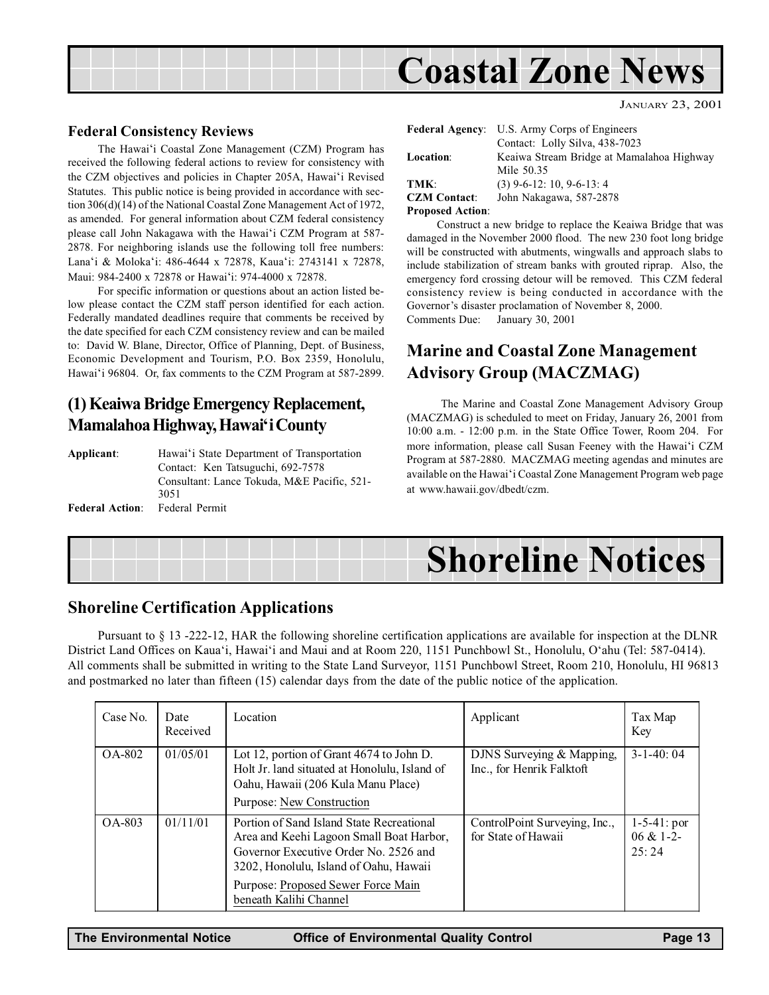<span id="page-12-0"></span>

#### Federal Consistency Reviews

The Hawai'i Coastal Zone Management (CZM) Program has received the following federal actions to review for consistency with the CZM objectives and policies in Chapter 205A, Hawai'i Revised Statutes. This public notice is being provided in accordance with section 306(d)(14) of the National Coastal Zone Management Act of 1972, as amended. For general information about CZM federal consistency please call John Nakagawa with the Hawai'i CZM Program at 587-2878. For neighboring islands use the following toll free numbers: Lana'i & Moloka'i: 486-4644 x 72878, Kaua'i: 2743141 x 72878, Maui: 984-2400 x 72878 or Hawai'i: 974-4000 x 72878.

For specific information or questions about an action listed below please contact the CZM staff person identified for each action. Federally mandated deadlines require that comments be received by the date specified for each CZM consistency review and can be mailed to: David W. Blane, Director, Office of Planning, Dept. of Business, Economic Development and Tourism, P.O. Box 2359, Honolulu, Hawai'i 96804. Or, fax comments to the CZM Program at 587-2899.

#### (1) Keaiwa Bridge Emergency Replacement, Mamalahoa Highway, Hawai'i County

| Applicant:             | Hawai'i State Department of Transportation  |
|------------------------|---------------------------------------------|
|                        | Contact: Ken Tatsuguchi, 692-7578           |
|                        | Consultant: Lance Tokuda, M&E Pacific, 521- |
|                        | 3051                                        |
| <b>Federal Action:</b> | Federal Permit                              |

| <b>Federal Agency:</b> | U.S. Army Corps of Engineers<br>Contact: Lolly Silva, 438-7023 |
|------------------------|----------------------------------------------------------------|
| <b>Location:</b>       | Keaiwa Stream Bridge at Mamalahoa Highway                      |
|                        | Mile 50.35                                                     |
| TMK:                   | $(3)$ 9-6-12: 10, 9-6-13: 4                                    |
| <b>CZM</b> Contact:    | John Nakagawa, 587-2878                                        |
| Drangeed Actions       |                                                                |

JANUARY 23, 2001

Proposed Action:

Construct a new bridge to replace the Keaiwa Bridge that was damaged in the November 2000 flood. The new 230 foot long bridge will be constructed with abutments, wingwalls and approach slabs to include stabilization of stream banks with grouted riprap. Also, the emergency ford crossing detour will be removed. This CZM federal consistency review is being conducted in accordance with the Governor's disaster proclamation of November 8, 2000. Comments Due: January 30, 2001

### Marine and Coastal Zone Management Advisory Group (MACZMAG)

 The Marine and Coastal Zone Management Advisory Group (MACZMAG) is scheduled to meet on Friday, January 26, 2001 from 10:00 a.m. - 12:00 p.m. in the State Office Tower, Room 204. For more information, please call Susan Feeney with the Hawai'i CZM Program at 587-2880. MACZMAG meeting agendas and minutes are available on the Hawai'i Coastal Zone Management Program web page at www.hawaii.gov/dbedt/czm.

## Shoreline Notices

#### Shoreline Certification Applications

Pursuant to § 13 -222-12, HAR the following shoreline certification applications are available for inspection at the DLNR District Land Offices on Kaua'i, Hawai'i and Maui and at Room 220, 1151 Punchbowl St., Honolulu, O'ahu (Tel: 587-0414). All comments shall be submitted in writing to the State Land Surveyor, 1151 Punchbowl Street, Room 210, Honolulu, HI 96813 and postmarked no later than fifteen (15) calendar days from the date of the public notice of the application.

| Case No. | Date<br>Received | Location                                                                                                                                                                                                                                 | Applicant                                              | Tax Map<br>Key                                |
|----------|------------------|------------------------------------------------------------------------------------------------------------------------------------------------------------------------------------------------------------------------------------------|--------------------------------------------------------|-----------------------------------------------|
| OA-802   | 01/05/01         | Lot 12, portion of Grant 4674 to John D.<br>Holt Jr. land situated at Honolulu, Island of<br>Oahu, Hawaii (206 Kula Manu Place)<br>Purpose: New Construction                                                                             | DJNS Surveying & Mapping,<br>Inc., for Henrik Falktoft | $3-1-40:04$                                   |
| OA-803   | 01/11/01         | Portion of Sand Island State Recreational<br>Area and Keehi Lagoon Small Boat Harbor,<br>Governor Executive Order No. 2526 and<br>3202, Honolulu, Island of Oahu, Hawaii<br>Purpose: Proposed Sewer Force Main<br>beneath Kalihi Channel | ControlPoint Surveying, Inc.,<br>for State of Hawaii   | $1 - 5 - 41$ : por<br>$06 & 1 - 2 -$<br>25:24 |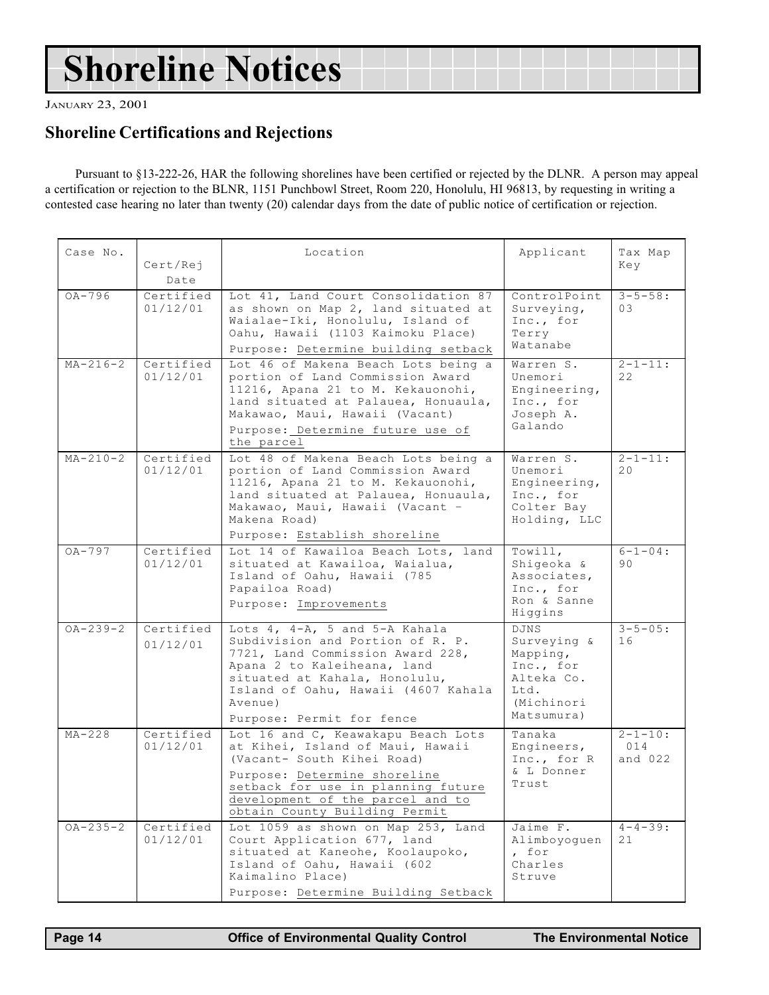## <span id="page-13-0"></span>Shoreline Notices

JANUARY 23, 2001

### Shoreline Certifications and Rejections

Pursuant to §13-222-26, HAR the following shorelines have been certified or rejected by the DLNR. A person may appeal a certification or rejection to the BLNR, 1151 Punchbowl Street, Room 220, Honolulu, HI 96813, by requesting in writing a contested case hearing no later than twenty (20) calendar days from the date of public notice of certification or rejection.

| Case No.       | Cert/Rej<br>Date      | Location                                                                                                                                                                                                                                                 | Applicant                                                                                             | Tax Map<br>Key                    |
|----------------|-----------------------|----------------------------------------------------------------------------------------------------------------------------------------------------------------------------------------------------------------------------------------------------------|-------------------------------------------------------------------------------------------------------|-----------------------------------|
| $OA-796$       | Certified<br>01/12/01 | Lot 41, Land Court Consolidation 87<br>as shown on Map 2, land situated at<br>Waialae-Iki, Honolulu, Island of<br>Oahu, Hawaii (1103 Kaimoku Place)<br>Purpose: Determine building setback                                                               | ControlPoint<br>Surveying,<br>Inc., for<br>Terry<br>Watanabe                                          | $3 - 5 - 58:$<br>03               |
| $MA - 216 - 2$ | Certified<br>01/12/01 | Lot 46 of Makena Beach Lots being a<br>portion of Land Commission Award<br>11216, Apana 21 to M. Kekauonohi,<br>land situated at Palauea, Honuaula,<br>Makawao, Maui, Hawaii (Vacant)<br>Purpose: Determine future use of<br>the parcel                  | Warren S.<br>Unemori<br>Engineering,<br>Inc., for<br>Joseph A.<br>Galando                             | $2 - 1 - 11:$<br>2.2.             |
| $MA - 210 - 2$ | Certified<br>01/12/01 | Lot 48 of Makena Beach Lots being a<br>portion of Land Commission Award<br>11216, Apana 21 to M. Kekauonohi,<br>land situated at Palauea, Honuaula,<br>Makawao, Maui, Hawaii (Vacant -<br>Makena Road)<br>Purpose: Establish shoreline                   | Warren S.<br>Unemori<br>Engineering,<br>Inc., for<br>Colter Bay<br>Holding, LLC                       | $2 - 1 - 11:$<br>20               |
| $OA-797$       | Certified<br>01/12/01 | Lot 14 of Kawailoa Beach Lots, land<br>situated at Kawailoa, Waialua,<br>Island of Oahu, Hawaii (785<br>Papailoa Road)<br>Purpose: Improvements                                                                                                          | Towill,<br>Shiqeoka &<br>Associates,<br>Inc., for<br>Ron & Sanne<br>Higgins                           | $6 - 1 - 04:$<br>90               |
| $OA - 239 - 2$ | Certified<br>01/12/01 | Lots $4, 4-A, 5$ and $5-A$ Kahala<br>Subdivision and Portion of R. P.<br>7721, Land Commission Award 228,<br>Apana 2 to Kaleiheana, land<br>situated at Kahala, Honolulu,<br>Island of Oahu, Hawaii (4607 Kahala<br>Avenue)<br>Purpose: Permit for fence | <b>DJNS</b><br>Surveying &<br>Mapping,<br>Inc., for<br>Alteka Co.<br>Ltd.<br>(Michinori<br>Matsumura) | $3 - 5 - 05:$<br>16               |
| $MA-228$       | Certified<br>01/12/01 | Lot 16 and C, Keawakapu Beach Lots<br>at Kihei, Island of Maui, Hawaii<br>(Vacant- South Kihei Road)<br>Purpose: Determine shoreline<br>setback for use in planning future<br>development of the parcel and to<br>obtain County Building Permit          | Tanaka<br>Engineers,<br>Inc., for R<br>& L Donner<br>Trust                                            | $2 - 1 - 10:$<br>014<br>and $022$ |
| $OA - 235 - 2$ | Certified<br>01/12/01 | Lot 1059 as shown on Map 253, Land<br>Court Application 677, land<br>situated at Kaneohe, Koolaupoko,<br>Island of Oahu, Hawaii (602<br>Kaimalino Place)<br>Purpose: Determine Building Setback                                                          | Jaime F.<br>Alimboyoguen<br>, for<br>Charles<br>Struve                                                | $4 - 4 - 39:$<br>21               |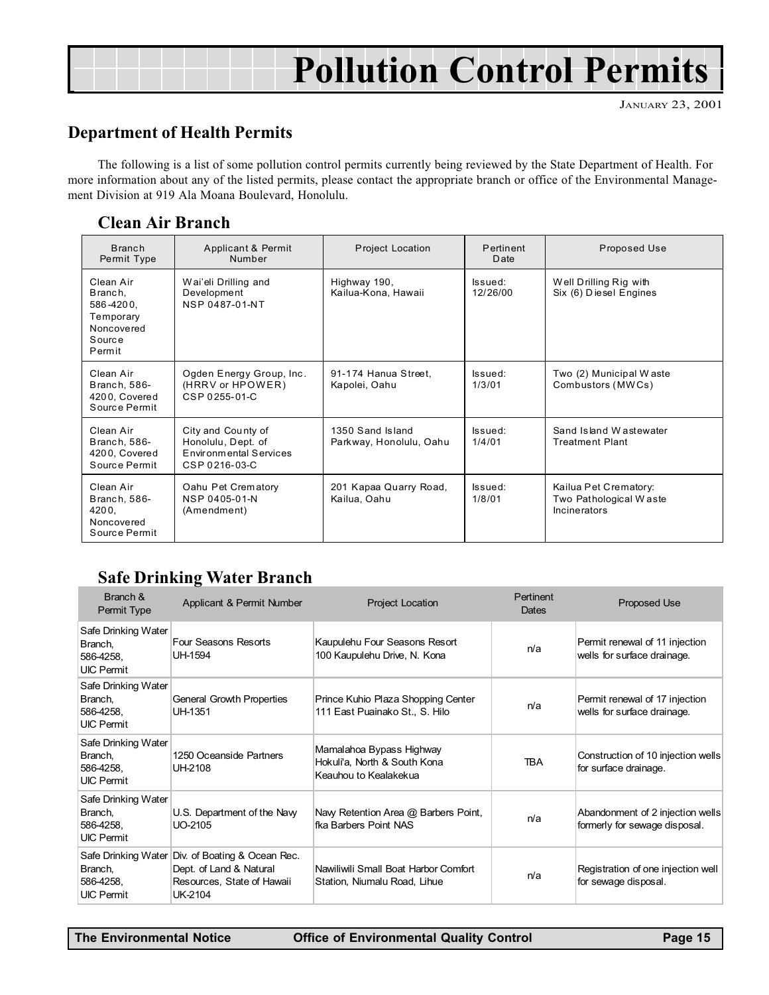## Pollution Control Permits

### Department of Health Permits

The following is a list of some pollution control permits currently being reviewed by the State Department of Health. For more information about any of the listed permits, please contact the appropriate branch or office of the Environmental Management Division at 919 Ala Moana Boulevard, Honolulu.

#### Clean Air Branch

| <b>Branch</b><br>Permit Type                                                     | Applicant & Permit<br>Number                                                        | <b>Project Location</b>                     | Pertinent<br>Date   | Proposed Use                                                           |  |  |
|----------------------------------------------------------------------------------|-------------------------------------------------------------------------------------|---------------------------------------------|---------------------|------------------------------------------------------------------------|--|--|
| Clean Air<br>Branch,<br>586-4200,<br>Temporary<br>Noncovered<br>Source<br>Permit | Wai'eli Drilling and<br>Development<br><b>NSP 0487-01-NT</b>                        | Highway 190,<br>Kailua-Kona, Hawaii         | Issued:<br>12/26/00 | Well Drilling Rig with<br>Six (6) Diesel Engines                       |  |  |
| Clean Air<br>Branch, 586-<br>4200, Covered<br>Source Permit                      | Ogden Energy Group, Inc.<br>(HRRV or HPOWER)<br>CSP 0255-01-C                       | 91-174 Hanua Street,<br>Kapolei, Oahu       | Issued:<br>1/3/01   | Two (2) Municipal Waste<br>Combustors (MWCs)                           |  |  |
| Clean Air<br>Branch, 586-<br>4200, Covered<br>Source Permit                      | City and County of<br>Honolulu, Dept. of<br>Environmental Services<br>CSP 0216-03-C | 1350 Sand Island<br>Parkway, Honolulu, Oahu | Issued:<br>1/4/01   | Sand Island Wastewater<br><b>Treatment Plant</b>                       |  |  |
| Clean Air<br>Branch, 586-<br>4200,<br>Noncovered<br>Source Permit                | Oahu Pet Crematory<br>NSP 0405-01-N<br>(Amendment)                                  | 201 Kapaa Quarry Road,<br>Kailua, Oahu      | Issued:<br>1/8/01   | Kailua Pet Crematory:<br>Two Pathological Waste<br><b>Incinerators</b> |  |  |

### Safe Drinking Water Branch

| Branch &<br>Permit Type                                          | Applicant & Permit Number                                                                                            | <b>Project Location</b>                                                           | Pertinent<br>Dates | <b>Proposed Use</b>                                               |  |  |
|------------------------------------------------------------------|----------------------------------------------------------------------------------------------------------------------|-----------------------------------------------------------------------------------|--------------------|-------------------------------------------------------------------|--|--|
| Safe Drinking Water<br>Branch,<br>586-4258,<br><b>UIC Permit</b> | Four Seasons Resorts<br>UH-1594                                                                                      | Kaupulehu Four Seasons Resort<br>100 Kaupulehu Drive, N. Kona                     | n/a                | Permit renewal of 11 injection<br>wells for surface drainage.     |  |  |
| Safe Drinking Water<br>Branch,<br>586-4258,<br><b>UIC Permit</b> | General Growth Properties<br>UH-1351                                                                                 | Prince Kuhio Plaza Shopping Center<br>111 East Puainako St., S. Hilo              | n/a                | Permit renewal of 17 injection<br>wells for surface drainage.     |  |  |
| Safe Drinking Water<br>Branch,<br>586-4258,<br><b>UIC Permit</b> | 1250 Oceanside Partners<br>UH-2108                                                                                   | Mamalahoa Bypass Highway<br>Hokuli'a, North & South Kona<br>Keauhou to Kealakekua | <b>TRA</b>         | Construction of 10 injection wells<br>for surface drainage.       |  |  |
| Safe Drinking Water<br>Branch,<br>586-4258.<br><b>UIC Permit</b> | U.S. Department of the Naw<br>UO-2105                                                                                | Navy Retention Area @ Barbers Point,<br>fka Barbers Point NAS                     | n/a                | Abandonment of 2 injection wells<br>formerly for sewage disposal. |  |  |
| Branch,<br>586-4258,<br><b>UIC Permit</b>                        | Safe Drinking Water Div. of Boating & Ocean Rec.<br>Dept. of Land & Natural<br>Resources, State of Hawaii<br>UK-2104 | Nawiliwili Small Boat Harbor Comfort<br>Station, Niumalu Road, Lihue              | n/a                | Registration of one injection well<br>for sewage disposal.        |  |  |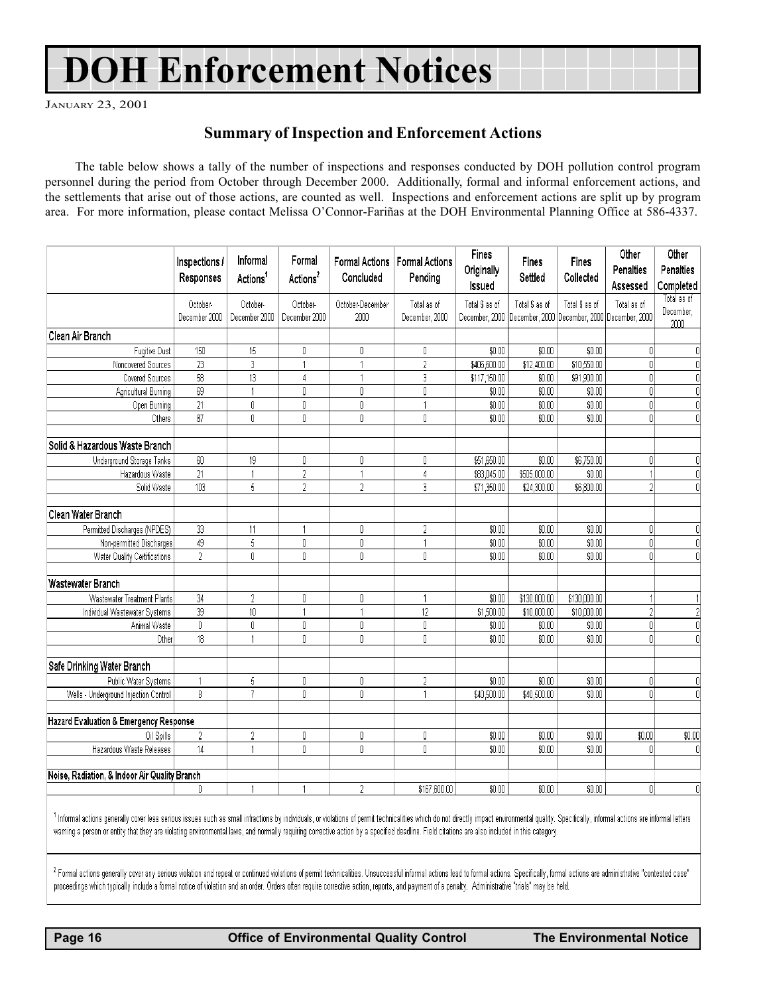## DOH Enforcement Notices

JANUARY 23, 2001

#### Summary of Inspection and Enforcement Actions

The table below shows a tally of the number of inspections and responses conducted by DOH pollution control program personnel during the period from October through December 2000. Additionally, formal and informal enforcement actions, and the settlements that arise out of those actions, are counted as well. Inspections and enforcement actions are split up by program area. For more information, please contact Melissa O'Connor-Fariñas at the DOH Environmental Planning Office at 586-4337.

|                                               | Inspections /<br>Responses | Informal<br>Actions <sup>1</sup>      | Formal<br>Actions <sup>2</sup> | <b>Formal Actions</b><br>Concluded | <b>Formal Actions</b><br>Pending          | <b>Fines</b><br>Originally<br>Issued | Fines<br>Settled | Fines<br>Collected                                             | Other<br>Penalties<br>Assessed | Other<br>Penalties<br>Completed  |
|-----------------------------------------------|----------------------------|---------------------------------------|--------------------------------|------------------------------------|-------------------------------------------|--------------------------------------|------------------|----------------------------------------------------------------|--------------------------------|----------------------------------|
|                                               | October-<br>December 2000  | October-<br>December 2000             | October-<br>December 2000      | October-December<br>2000           | Total as of<br>December <sub>, 2000</sub> | Total \$ as of<br>December, 2000     | Total \$ as of   | Total \$ as of<br>December, 2000 December, 2000 December, 2000 | Total as of                    | Total as of<br>December,<br>2000 |
| Clean Air Branch                              |                            |                                       |                                |                                    |                                           |                                      |                  |                                                                |                                |                                  |
| <b>Fugitive Dust</b>                          | 150                        | 15                                    | 0                              | 0                                  | 0                                         | \$0.00                               | \$0.00           | \$0.00                                                         | 0.                             | O                                |
| Noncovered Sources                            | 23                         | 3                                     | 1                              |                                    | $\overline{2}$                            | \$406,600.00                         | \$12,400.00      | \$10,550.00                                                    | $\overline{0}$                 | 0                                |
| Covered Sources                               | $\overline{58}$            | 13                                    | 4                              | 1                                  | 3                                         | \$117,150.00                         | \$0.00           | \$91,900.00                                                    | $\overline{0}$                 | 0                                |
| Agricultural Burning                          | 69                         |                                       | 0                              | 0                                  | 0                                         | \$0.00                               | \$0.00           | \$0.00                                                         | $\overline{0}$                 | $\mathbf 0$                      |
| Open Burning                                  | 21                         | 0                                     | 0                              | 0                                  |                                           | \$0.00                               | \$0.00           | \$0.00                                                         | 0                              | 0                                |
| Others                                        | 87                         | $\begin{array}{c} 0 \\ 0 \end{array}$ | 0                              | 0                                  | $\mathbf{r}$                              | \$0.00                               | \$0.00           | \$0.00                                                         | nl                             | $\overline{0}$                   |
| Solid & Hazardous Waste Branch                |                            |                                       |                                |                                    |                                           |                                      |                  |                                                                |                                |                                  |
| Underground Storage Tanks                     | $60\,$                     | 19                                    | 0                              | 0                                  | 0                                         | \$51,650.00                          | \$0.00           | \$6,750.00                                                     | 0                              | 0                                |
| Hazardous Waste                               | $\overline{21}$            |                                       | $\overline{2}$                 |                                    | $\Lambda$                                 | \$83,045.00                          | \$505,000.00     | \$0.00                                                         |                                | $\overline{0}$                   |
| Solid Waste                                   | 103                        | 5                                     | $\overline{2}$                 | $\overline{2}$                     | 3                                         | \$71,350.00                          | \$24,300.00      | \$6,800.00                                                     | $\overline{2}$                 | $\theta$                         |
| Clean Water Branch                            |                            |                                       |                                |                                    |                                           |                                      |                  |                                                                |                                |                                  |
| Permitted Discharges (NPDES)                  | 33                         | 11                                    | 1                              | 0                                  | $\overline{2}$                            | \$0.00                               | \$0.00           | \$0.00                                                         | 0                              | 0                                |
| Non-permitted Discharges                      | 49                         | 5                                     | 0                              | 0                                  |                                           | \$0.00                               | \$0.00           | \$0.00                                                         | $\overline{0}$                 | $\mathbf 0$                      |
| Water Quality Certifications                  | $\overline{2}$             | $\overline{0}$                        | 0                              | 0                                  | 0                                         | \$0.00                               | \$0.00           | \$0.00                                                         | ol                             | $\overline{0}$                   |
| Wastewater Branch                             |                            |                                       |                                |                                    |                                           |                                      |                  |                                                                |                                |                                  |
| Wastewater Treatment Plants                   | 34                         | $\overline{2}$                        | 0                              | 0                                  |                                           | \$0.00                               | \$130,000.00     | \$130,000.00                                                   |                                | 1                                |
| Individual Wastewater Systems                 | 39                         | $10\,$                                | 1                              | $\mathbf{1}$                       | 12                                        | \$1,500.00                           | \$10,000.00      | \$10,000.00                                                    | 21                             | $\overline{2}$                   |
| Animal Waste                                  | 0                          | 0                                     | 0                              | 0                                  | 0                                         | \$0.00                               | \$0.00           | \$0.00                                                         | $\overline{0}$                 | 0                                |
| Other                                         | 18                         |                                       | $\mathbf{0}$                   | 0                                  | $\overline{\mathsf{a}}$                   | \$0.00                               | \$0.00           | \$0.00                                                         | n                              | $\overline{\mathsf{n}}$          |
| Safe Drinking Water Branch                    |                            |                                       |                                |                                    |                                           |                                      |                  |                                                                |                                |                                  |
| Public Water Systems                          | $\overline{1}$             | 5                                     | 0                              | 0                                  | $\overline{c}$                            | \$0.00                               | \$0.00           | \$0.00                                                         | 0                              | 0                                |
| Wells - Underground Injection Control         | 8                          | $\overline{7}$                        | 0                              | 0                                  |                                           | \$40,500.00                          | \$40,500.00      | \$0.00                                                         | ۵I                             | 0                                |
| Hazard Evaluation & Emergency Response        |                            |                                       |                                |                                    |                                           |                                      |                  |                                                                |                                |                                  |
| Oil Spills                                    | $\sqrt{2}$                 | $\overline{2}$                        | 0                              | 0                                  | 0                                         | \$0.00                               | \$0.00           | \$0.00                                                         | \$0.00                         | \$0.00                           |
| Hazardous Waste Releases                      | 14                         | $\overline{1}$                        | $\mathbf 0$                    | 0                                  | $\mathbf{0}$                              | \$0.00                               | \$0.00           | \$0.00                                                         | n                              | 0                                |
| Noise, Radiation, & Indoor Air Quality Branch |                            |                                       |                                |                                    |                                           |                                      |                  |                                                                |                                |                                  |
|                                               | 0                          |                                       |                                | $\overline{2}$                     | \$167,600.00                              | \$0.00                               | \$0.00           | \$0.00                                                         | 0                              | Ω                                |

<sup>1</sup> Informal actions generally cover less serious issues such as small infractions by individuals, or violations of permit technicalities which do not directly impact environmental quality. Specifically, informal actions a warning a person or entity that they are violating environmental laws, and normally requiring corrective action by a specified deadline. Field citations are also included in this category.

<sup>2</sup> Formal actions generally cover any serious violation and repeat or continued violations of permit technicalities. Unsuccessful informal actions lead to formal actions. Specifically, formal actions are administrative "c proceedings which typically include a formal notice of violation and an order. Orders often require corrective action, reports, and payment of a penalty. Administrative "trials" may be held.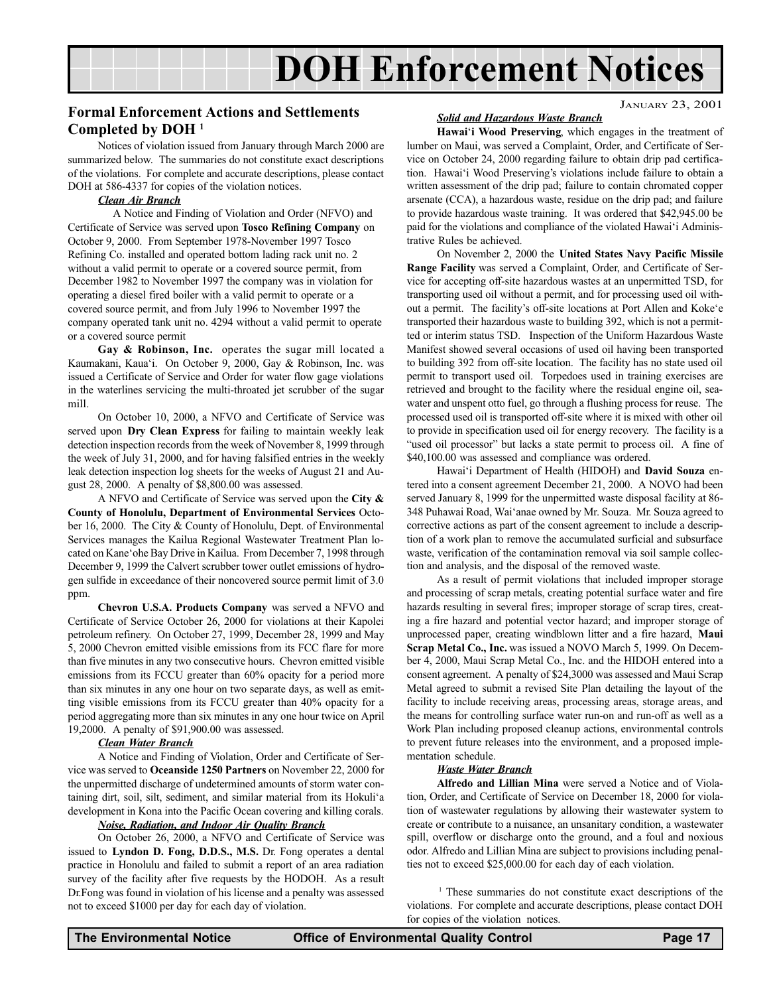## DOH Enforcement Notices

### <span id="page-16-0"></span>JANUARY 23, 2001 Formal Enforcement Actions and Settlements Completed by DOH 1

Notices of violation issued from January through March 2000 are summarized below. The summaries do not constitute exact descriptions of the violations. For complete and accurate descriptions, please contact DOH at 586-4337 for copies of the violation notices.

#### Clean Air Branch

A Notice and Finding of Violation and Order (NFVO) and Certificate of Service was served upon Tosco Refining Company on October 9, 2000. From September 1978-November 1997 Tosco Refining Co. installed and operated bottom lading rack unit no. 2 without a valid permit to operate or a covered source permit, from December 1982 to November 1997 the company was in violation for operating a diesel fired boiler with a valid permit to operate or a covered source permit, and from July 1996 to November 1997 the company operated tank unit no. 4294 without a valid permit to operate or a covered source permit

Gay & Robinson, Inc. operates the sugar mill located a Kaumakani, Kaua'i. On October 9, 2000, Gay & Robinson, Inc. was issued a Certificate of Service and Order for water flow gage violations in the waterlines servicing the multi-throated jet scrubber of the sugar mill.

On October 10, 2000, a NFVO and Certificate of Service was served upon Dry Clean Express for failing to maintain weekly leak detection inspection records from the week of November 8, 1999 through the week of July 31, 2000, and for having falsified entries in the weekly leak detection inspection log sheets for the weeks of August 21 and August 28, 2000. A penalty of \$8,800.00 was assessed.

A NFVO and Certificate of Service was served upon the City & County of Honolulu, Department of Environmental Services October 16, 2000. The City & County of Honolulu, Dept. of Environmental Services manages the Kailua Regional Wastewater Treatment Plan located on Kane'ohe Bay Drive in Kailua. From December 7, 1998 through December 9, 1999 the Calvert scrubber tower outlet emissions of hydrogen sulfide in exceedance of their noncovered source permit limit of 3.0 ppm.

Chevron U.S.A. Products Company was served a NFVO and Certificate of Service October 26, 2000 for violations at their Kapolei petroleum refinery. On October 27, 1999, December 28, 1999 and May 5, 2000 Chevron emitted visible emissions from its FCC flare for more than five minutes in any two consecutive hours. Chevron emitted visible emissions from its FCCU greater than 60% opacity for a period more than six minutes in any one hour on two separate days, as well as emitting visible emissions from its FCCU greater than 40% opacity for a period aggregating more than six minutes in any one hour twice on April 19,2000. A penalty of \$91,900.00 was assessed.

#### Clean Water Branch

A Notice and Finding of Violation, Order and Certificate of Service was served to Oceanside 1250 Partners on November 22, 2000 for the unpermitted discharge of undetermined amounts of storm water containing dirt, soil, silt, sediment, and similar material from its Hokuli'a development in Kona into the Pacific Ocean covering and killing corals.

#### Noise, Radiation, and Indoor Air Quality Branch

On October 26, 2000, a NFVO and Certificate of Service was issued to Lyndon D. Fong, D.D.S., M.S. Dr. Fong operates a dental practice in Honolulu and failed to submit a report of an area radiation survey of the facility after five requests by the HODOH. As a result Dr.Fong was found in violation of his license and a penalty was assessed not to exceed \$1000 per day for each day of violation.

#### Solid and Hazardous Waste Branch

Hawai'i Wood Preserving, which engages in the treatment of lumber on Maui, was served a Complaint, Order, and Certificate of Service on October 24, 2000 regarding failure to obtain drip pad certification. Hawai'i Wood Preserving's violations include failure to obtain a written assessment of the drip pad; failure to contain chromated copper arsenate (CCA), a hazardous waste, residue on the drip pad; and failure to provide hazardous waste training. It was ordered that \$42,945.00 be paid for the violations and compliance of the violated Hawai'i Administrative Rules be achieved.

On November 2, 2000 the United States Navy Pacific Missile Range Facility was served a Complaint, Order, and Certificate of Service for accepting off-site hazardous wastes at an unpermitted TSD, for transporting used oil without a permit, and for processing used oil without a permit. The facility's off-site locations at Port Allen and Koke'e transported their hazardous waste to building 392, which is not a permitted or interim status TSD. Inspection of the Uniform Hazardous Waste Manifest showed several occasions of used oil having been transported to building 392 from off-site location. The facility has no state used oil permit to transport used oil. Torpedoes used in training exercises are retrieved and brought to the facility where the residual engine oil, seawater and unspent otto fuel, go through a flushing process for reuse. The processed used oil is transported off-site where it is mixed with other oil to provide in specification used oil for energy recovery. The facility is a "used oil processor" but lacks a state permit to process oil. A fine of \$40,100.00 was assessed and compliance was ordered.

Hawai'i Department of Health (HIDOH) and David Souza entered into a consent agreement December 21, 2000. A NOVO had been served January 8, 1999 for the unpermitted waste disposal facility at 86- 348 Puhawai Road, Wai'anae owned by Mr. Souza. Mr. Souza agreed to corrective actions as part of the consent agreement to include a description of a work plan to remove the accumulated surficial and subsurface waste, verification of the contamination removal via soil sample collection and analysis, and the disposal of the removed waste.

As a result of permit violations that included improper storage and processing of scrap metals, creating potential surface water and fire hazards resulting in several fires; improper storage of scrap tires, creating a fire hazard and potential vector hazard; and improper storage of unprocessed paper, creating windblown litter and a fire hazard, Maui Scrap Metal Co., Inc. was issued a NOVO March 5, 1999. On December 4, 2000, Maui Scrap Metal Co., Inc. and the HIDOH entered into a consent agreement. A penalty of \$24,3000 was assessed and Maui Scrap Metal agreed to submit a revised Site Plan detailing the layout of the facility to include receiving areas, processing areas, storage areas, and the means for controlling surface water run-on and run-off as well as a Work Plan including proposed cleanup actions, environmental controls to prevent future releases into the environment, and a proposed implementation schedule.

#### Waste Water Branch

Alfredo and Lillian Mina were served a Notice and of Violation, Order, and Certificate of Service on December 18, 2000 for violation of wastewater regulations by allowing their wastewater system to create or contribute to a nuisance, an unsanitary condition, a wastewater spill, overflow or discharge onto the ground, and a foul and noxious odor. Alfredo and Lillian Mina are subject to provisions including penalties not to exceed \$25,000.00 for each day of each violation.

<sup>1</sup> These summaries do not constitute exact descriptions of the violations. For complete and accurate descriptions, please contact DOH for copies of the violation notices.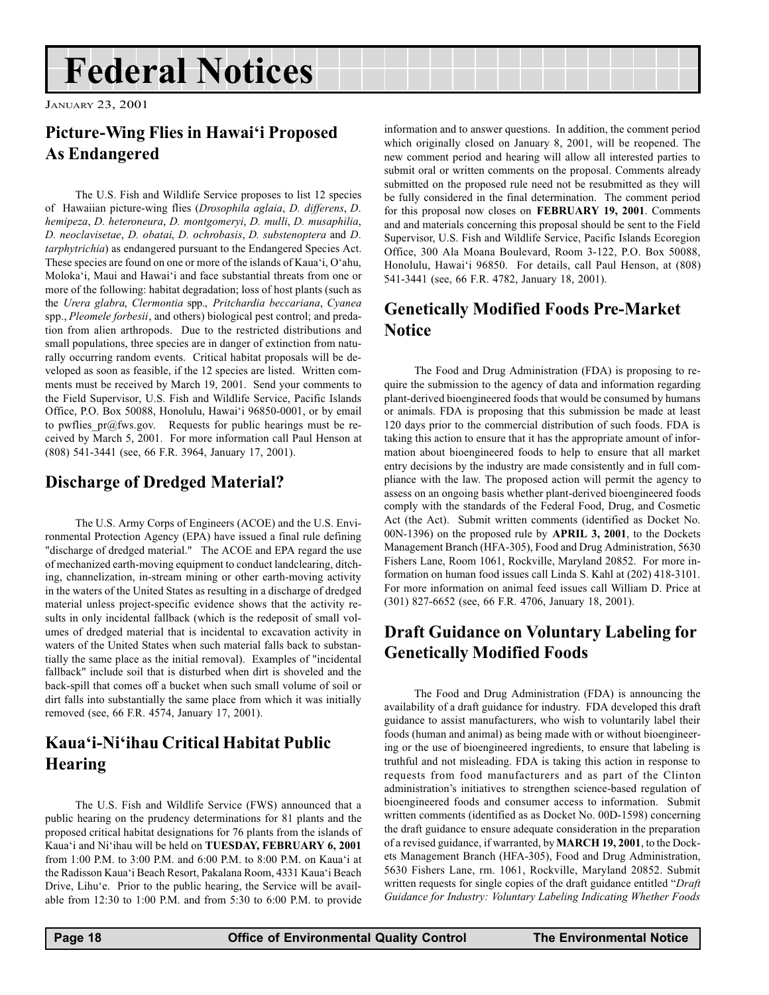## <span id="page-17-0"></span>Federal Notices

JANUARY 23, 2001

## Picture-Wing Flies in Hawai'i Proposed As Endangered

The U.S. Fish and Wildlife Service proposes to list 12 species of Hawaiian picture-wing flies (Drosophila aglaia, D. differens, D. hemipeza, D. heteroneura, D. montgomeryi, D. mulli, D. musaphilia, D. neoclavisetae, D. obatai, D. ochrobasis, D. substenoptera and D. tarphytrichia) as endangered pursuant to the Endangered Species Act. These species are found on one or more of the islands of Kaua'i, O'ahu, Moloka'i, Maui and Hawai'i and face substantial threats from one or more of the following: habitat degradation; loss of host plants (such as the Urera glabra, Clermontia spp., Pritchardia beccariana, Cyanea spp., Pleomele forbesii, and others) biological pest control; and predation from alien arthropods. Due to the restricted distributions and small populations, three species are in danger of extinction from naturally occurring random events. Critical habitat proposals will be developed as soon as feasible, if the 12 species are listed. Written comments must be received by March 19, 2001. Send your comments to the Field Supervisor, U.S. Fish and Wildlife Service, Pacific Islands Office, P.O. Box 50088, Honolulu, Hawai'i 96850-0001, or by email to pwflies\_pr@fws.gov. Requests for public hearings must be received by March 5, 2001. For more information call Paul Henson at (808) 541-3441 (see, 66 F.R. 3964, January 17, 2001).

## Discharge of Dredged Material?

The U.S. Army Corps of Engineers (ACOE) and the U.S. Environmental Protection Agency (EPA) have issued a final rule defining "discharge of dredged material." The ACOE and EPA regard the use of mechanized earth-moving equipment to conduct landclearing, ditching, channelization, in-stream mining or other earth-moving activity in the waters of the United States as resulting in a discharge of dredged material unless project-specific evidence shows that the activity results in only incidental fallback (which is the redeposit of small volumes of dredged material that is incidental to excavation activity in waters of the United States when such material falls back to substantially the same place as the initial removal). Examples of "incidental fallback" include soil that is disturbed when dirt is shoveled and the back-spill that comes off a bucket when such small volume of soil or dirt falls into substantially the same place from which it was initially removed (see, 66 F.R. 4574, January 17, 2001).

### Kaua'i-Ni'ihau Critical Habitat Public Hearing

The U.S. Fish and Wildlife Service (FWS) announced that a public hearing on the prudency determinations for 81 plants and the proposed critical habitat designations for 76 plants from the islands of Kaua'i and Ni'ihau will be held on TUESDAY, FEBRUARY 6, 2001 from 1:00 P.M. to 3:00 P.M. and 6:00 P.M. to 8:00 P.M. on Kaua'i at the Radisson Kaua'i Beach Resort, Pakalana Room, 4331 Kaua'i Beach Drive, Lihu'e. Prior to the public hearing, the Service will be available from 12:30 to 1:00 P.M. and from 5:30 to 6:00 P.M. to provide

information and to answer questions. In addition, the comment period which originally closed on January 8, 2001, will be reopened. The new comment period and hearing will allow all interested parties to submit oral or written comments on the proposal. Comments already submitted on the proposed rule need not be resubmitted as they will be fully considered in the final determination. The comment period for this proposal now closes on FEBRUARY 19, 2001. Comments and and materials concerning this proposal should be sent to the Field Supervisor, U.S. Fish and Wildlife Service, Pacific Islands Ecoregion Office, 300 Ala Moana Boulevard, Room 3-122, P.O. Box 50088, Honolulu, Hawai'i 96850. For details, call Paul Henson, at (808) 541-3441 (see, 66 F.R. 4782, January 18, 2001).

### Genetically Modified Foods Pre-Market Notice

The Food and Drug Administration (FDA) is proposing to require the submission to the agency of data and information regarding plant-derived bioengineered foods that would be consumed by humans or animals. FDA is proposing that this submission be made at least 120 days prior to the commercial distribution of such foods. FDA is taking this action to ensure that it has the appropriate amount of information about bioengineered foods to help to ensure that all market entry decisions by the industry are made consistently and in full compliance with the law. The proposed action will permit the agency to assess on an ongoing basis whether plant-derived bioengineered foods comply with the standards of the Federal Food, Drug, and Cosmetic Act (the Act). Submit written comments (identified as Docket No. 00N-1396) on the proposed rule by APRIL 3, 2001, to the Dockets Management Branch (HFA-305), Food and Drug Administration, 5630 Fishers Lane, Room 1061, Rockville, Maryland 20852. For more information on human food issues call Linda S. Kahl at (202) 418-3101. For more information on animal feed issues call William D. Price at (301) 827-6652 (see, 66 F.R. 4706, January 18, 2001).

### Draft Guidance on Voluntary Labeling for Genetically Modified Foods

The Food and Drug Administration (FDA) is announcing the availability of a draft guidance for industry. FDA developed this draft guidance to assist manufacturers, who wish to voluntarily label their foods (human and animal) as being made with or without bioengineering or the use of bioengineered ingredients, to ensure that labeling is truthful and not misleading. FDA is taking this action in response to requests from food manufacturers and as part of the Clinton administration's initiatives to strengthen science-based regulation of bioengineered foods and consumer access to information. Submit written comments (identified as as Docket No. 00D-1598) concerning the draft guidance to ensure adequate consideration in the preparation of a revised guidance, if warranted, by MARCH 19, 2001, to the Dockets Management Branch (HFA-305), Food and Drug Administration, 5630 Fishers Lane, rm. 1061, Rockville, Maryland 20852. Submit written requests for single copies of the draft guidance entitled "Draft Guidance for Industry: Voluntary Labeling Indicating Whether Foods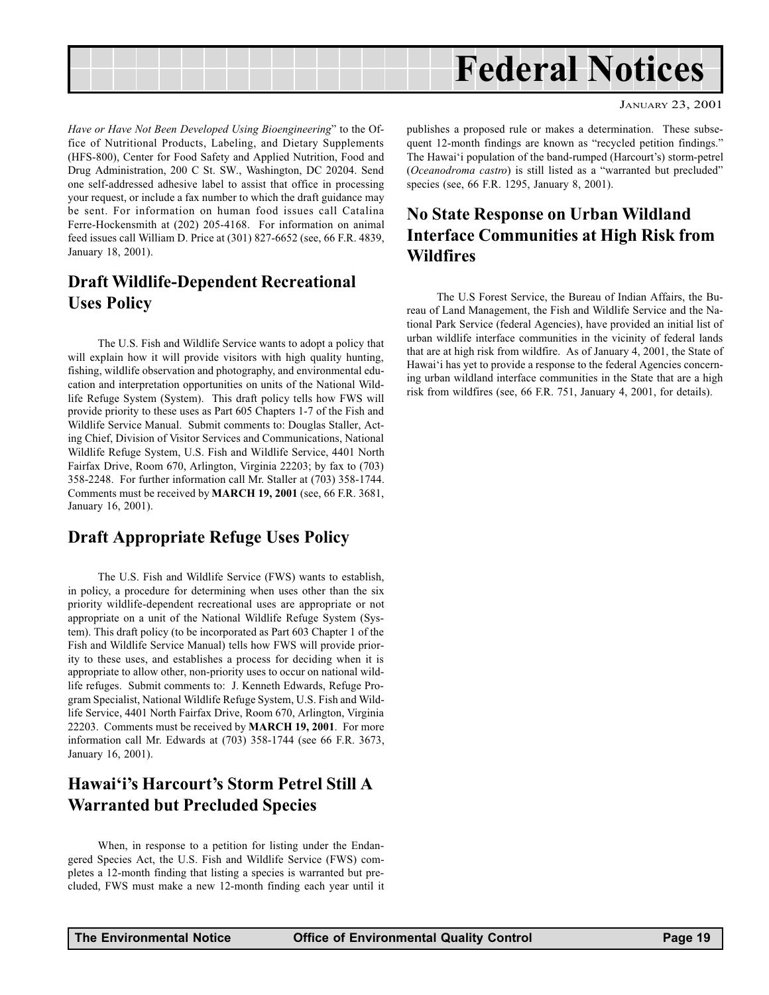<span id="page-18-0"></span>

JANUARY 23, 2001

Have or Have Not Been Developed Using Bioengineering" to the Office of Nutritional Products, Labeling, and Dietary Supplements (HFS-800), Center for Food Safety and Applied Nutrition, Food and Drug Administration, 200 C St. SW., Washington, DC 20204. Send one self-addressed adhesive label to assist that office in processing your request, or include a fax number to which the draft guidance may be sent. For information on human food issues call Catalina Ferre-Hockensmith at (202) 205-4168. For information on animal feed issues call William D. Price at (301) 827-6652 (see, 66 F.R. 4839, January 18, 2001).

## Draft Wildlife-Dependent Recreational Uses Policy

The U.S. Fish and Wildlife Service wants to adopt a policy that will explain how it will provide visitors with high quality hunting, fishing, wildlife observation and photography, and environmental education and interpretation opportunities on units of the National Wildlife Refuge System (System). This draft policy tells how FWS will provide priority to these uses as Part 605 Chapters 1-7 of the Fish and Wildlife Service Manual. Submit comments to: Douglas Staller, Acting Chief, Division of Visitor Services and Communications, National Wildlife Refuge System, U.S. Fish and Wildlife Service, 4401 North Fairfax Drive, Room 670, Arlington, Virginia 22203; by fax to (703) 358-2248. For further information call Mr. Staller at (703) 358-1744. Comments must be received by MARCH 19, 2001 (see, 66 F.R. 3681, January 16, 2001).

### Draft Appropriate Refuge Uses Policy

The U.S. Fish and Wildlife Service (FWS) wants to establish, in policy, a procedure for determining when uses other than the six priority wildlife-dependent recreational uses are appropriate or not appropriate on a unit of the National Wildlife Refuge System (System). This draft policy (to be incorporated as Part 603 Chapter 1 of the Fish and Wildlife Service Manual) tells how FWS will provide priority to these uses, and establishes a process for deciding when it is appropriate to allow other, non-priority uses to occur on national wildlife refuges. Submit comments to: J. Kenneth Edwards, Refuge Program Specialist, National Wildlife Refuge System, U.S. Fish and Wildlife Service, 4401 North Fairfax Drive, Room 670, Arlington, Virginia 22203. Comments must be received by MARCH 19, 2001. For more information call Mr. Edwards at (703) 358-1744 (see 66 F.R. 3673, January 16, 2001).

### Hawai'i's Harcourt's Storm Petrel Still A Warranted but Precluded Species

When, in response to a petition for listing under the Endangered Species Act, the U.S. Fish and Wildlife Service (FWS) completes a 12-month finding that listing a species is warranted but precluded, FWS must make a new 12-month finding each year until it

publishes a proposed rule or makes a determination. These subsequent 12-month findings are known as "recycled petition findings." The Hawai'i population of the band-rumped (Harcourt's) storm-petrel (Oceanodroma castro) is still listed as a "warranted but precluded" species (see, 66 F.R. 1295, January 8, 2001).

## No State Response on Urban Wildland Interface Communities at High Risk from Wildfires

The U.S Forest Service, the Bureau of Indian Affairs, the Bureau of Land Management, the Fish and Wildlife Service and the National Park Service (federal Agencies), have provided an initial list of urban wildlife interface communities in the vicinity of federal lands that are at high risk from wildfire. As of January 4, 2001, the State of Hawai'i has yet to provide a response to the federal Agencies concerning urban wildland interface communities in the State that are a high risk from wildfires (see, 66 F.R. 751, January 4, 2001, for details).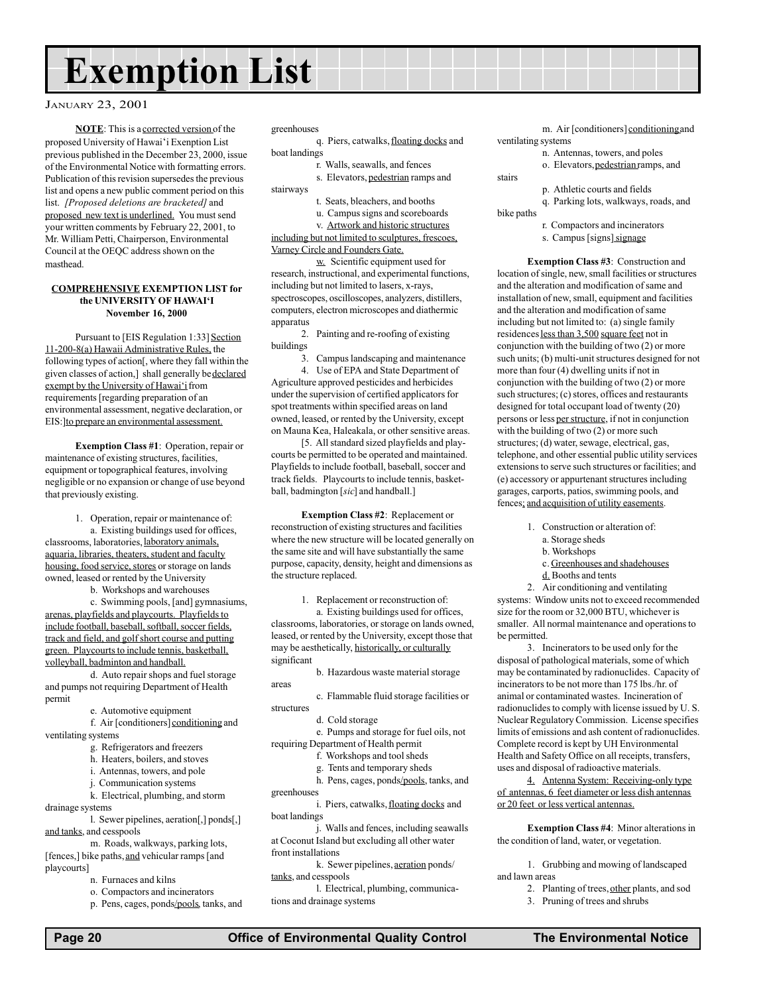## Exemption List

#### JANUARY 23, 2001

NOTE: This is a corrected version of the proposed University of Hawai'i Exenption List previous published in the December 23, 2000, issue of the Environmental Notice with formatting errors. Publication of this revision supersedes the previous list and opens a new public comment period on this list. [Proposed deletions are bracketed] and proposed new text is underlined. You must send your written comments by February 22, 2001, to Mr. William Petti, Chairperson, Environmental Council at the OEQC address shown on the masthead.

#### COMPREHENSIVE EXEMPTION LIST for the UNIVERSITY OF HAWAI'I November 16, 2000

Pursuant to [EIS Regulation 1:33] Section 11-200-8(a) Hawaii Administrative Rules, the following types of action[, where they fall within the given classes of action,] shall generally be declared exempt by the University of Hawai'i from requirements [regarding preparation of an environmental assessment, negative declaration, or EIS:]to prepare an environmental assessment.

Exemption Class #1: Operation, repair or maintenance of existing structures, facilities, equipment or topographical features, involving negligible or no expansion or change of use beyond that previously existing.

1. Operation, repair or maintenance of: a. Existing buildings used for offices, classrooms, laboratories, laboratory animals, aquaria, libraries, theaters, student and faculty housing, food service, stores or storage on lands owned, leased or rented by the University

b. Workshops and warehouses

c. Swimming pools, [and] gymnasiums, arenas, playfields and playcourts. Playfields to include football, baseball, softball, soccer fields, track and field, and golf short course and putting green. Playcourts to include tennis, basketball, volleyball, badminton and handball.

d. Auto repair shops and fuel storage and pumps not requiring Department of Health permit

e. Automotive equipment

f. Air [conditioners] conditioning and ventilating systems

- g. Refrigerators and freezers
- h. Heaters, boilers, and stoves
- i. Antennas, towers, and pole
- j. Communication systems
- k. Electrical, plumbing, and storm

drainage systems

l. Sewer pipelines, aeration[,] ponds[,] and tanks, and cesspools

m. Roads, walkways, parking lots, [fences,] bike paths, and vehicular ramps [and playcourts]

- n. Furnaces and kilns
- o. Compactors and incinerators

p. Pens, cages, ponds/pools, tanks, and

#### greenhouses

q. Piers, catwalks, floating docks and boat landings

r. Walls, seawalls, and fences

s. Elevators, pedestrian ramps and stairways

- t. Seats, bleachers, and booths
- u. Campus signs and scoreboards
- v. Artwork and historic structures

including but not limited to sculptures, frescoes, Varney Circle and Founders Gate.

w. Scientific equipment used for research, instructional, and experimental functions, including but not limited to lasers, x-rays, spectroscopes, oscilloscopes, analyzers, distillers, computers, electron microscopes and diathermic apparatus

2. Painting and re-roofing of existing buildings

3. Campus landscaping and maintenance 4. Use of EPA and State Department of

Agriculture approved pesticides and herbicides under the supervision of certified applicators for spot treatments within specified areas on land owned, leased, or rented by the University, except on Mauna Kea, Haleakala, or other sensitive areas.

[5. All standard sized playfields and playcourts be permitted to be operated and maintained. Playfields to include football, baseball, soccer and track fields. Playcourts to include tennis, basketball, badmington [sic] and handball.]

Exemption Class #2: Replacement or reconstruction of existing structures and facilities where the new structure will be located generally on the same site and will have substantially the same purpose, capacity, density, height and dimensions as the structure replaced.

1. Replacement or reconstruction of:

a. Existing buildings used for offices, classrooms, laboratories, or storage on lands owned, leased, or rented by the University, except those that may be aesthetically, historically, or culturally significant

b. Hazardous waste material storage areas

c. Flammable fluid storage facilities or structures

d. Cold storage

e. Pumps and storage for fuel oils, not requiring Department of Health permit

f. Workshops and tool sheds

g. Tents and temporary sheds

h. Pens, cages, ponds/pools, tanks, and greenhouses

i. Piers, catwalks, floating docks and boat landings

j. Walls and fences, including seawalls at Coconut Island but excluding all other water front installations

tanks, and cesspools

l. Electrical, plumbing, communications and drainage systems

m. Air [conditioners] conditioning and ventilating systems

n. Antennas, towers, and poles o. Elevators, pedestrian ramps, and

stairs

- p. Athletic courts and fields
- q. Parking lots, walkways, roads, and bike paths
	- r. Compactors and incinerators
	- s. Campus [signs] signage

Exemption Class #3: Construction and location of single, new, small facilities or structures and the alteration and modification of same and installation of new, small, equipment and facilities and the alteration and modification of same including but not limited to: (a) single family residences less than 3,500 square feet not in conjunction with the building of two (2) or more such units; (b) multi-unit structures designed for not more than four (4) dwelling units if not in conjunction with the building of two (2) or more such structures; (c) stores, offices and restaurants designed for total occupant load of twenty (20) persons or less per structure, if not in conjunction with the building of two  $(2)$  or more such structures; (d) water, sewage, electrical, gas, telephone, and other essential public utility services extensions to serve such structures or facilities; and (e) accessory or appurtenant structures including garages, carports, patios, swimming pools, and fences; and acquisition of utility easements.

- 1. Construction or alteration of:
	- a. Storage sheds
	- b. Workshops
	- c. Greenhouses and shadehouses
- d. Booths and tents

2. Air conditioning and ventilating systems: Window units not to exceed recommended size for the room or 32,000 BTU, whichever is smaller. All normal maintenance and operations to be permitted.

3. Incinerators to be used only for the disposal of pathological materials, some of which may be contaminated by radionuclides. Capacity of incinerators to be not more than 175 lbs./hr. of animal or contaminated wastes. Incineration of radionuclides to comply with license issued by U. S. Nuclear Regulatory Commission. License specifies limits of emissions and ash content of radionuclides. Complete record is kept by UH Environmental Health and Safety Office on all receipts, transfers, uses and disposal of radioactive materials.

4. Antenna System: Receiving-only type of antennas, 6 feet diameter or less dish antennas or 20 feet or less vertical antennas.

Exemption Class #4: Minor alterations in the condition of land, water, or vegetation.

1. Grubbing and mowing of landscaped and lawn areas

- 2. Planting of trees, other plants, and sod
- 3. Pruning of trees and shrubs

k. Sewer pipelines, aeration ponds/